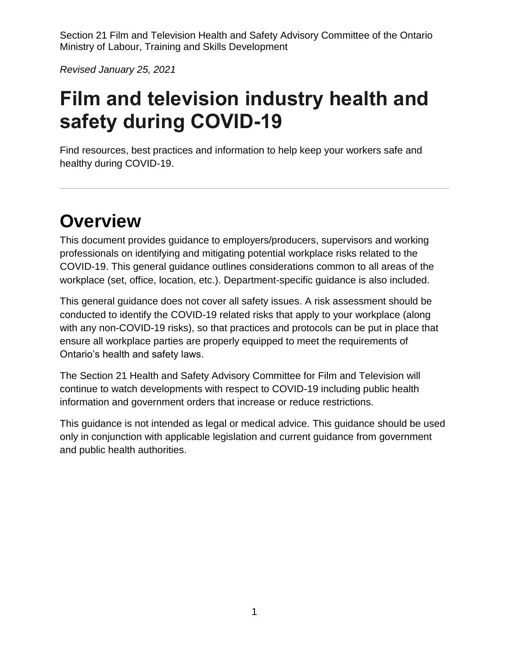*Revised January 25, 2021*

# **Film and television industry health and safety during COVID-19**

Find resources, best practices and information to help keep your workers safe and healthy during COVID-19.

# **Overview**

This document provides guidance to employers/producers, supervisors and working professionals on identifying and mitigating potential workplace risks related to the COVID-19. This general guidance outlines considerations common to all areas of the workplace (set, office, location, etc.). Department-specific guidance is also included.

This general guidance does not cover all safety issues. A risk assessment should be conducted to identify the COVID-19 related risks that apply to your workplace (along with any non-COVID-19 risks), so that practices and protocols can be put in place that ensure all workplace parties are properly equipped to meet the requirements of Ontario's health and safety laws.

The Section 21 Health and Safety Advisory Committee for Film and Television will continue to watch developments with respect to COVID-19 including public health information and government orders that increase or reduce restrictions.

This guidance is not intended as legal or medical advice. This guidance should be used only in conjunction with applicable legislation and current guidance from government and public health authorities.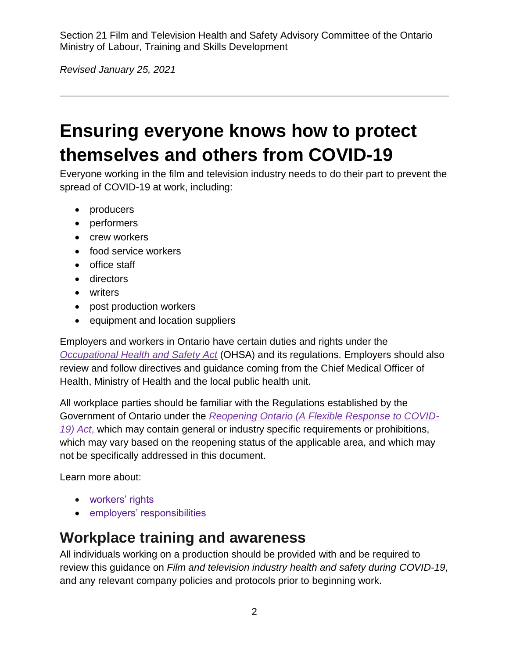*Revised January 25, 2021*

# **Ensuring everyone knows how to protect themselves and others from COVID-19**

Everyone working in the film and television industry needs to do their part to prevent the spread of COVID-19 at work, including:

- producers
- performers
- crew workers
- food service workers
- office staff
- directors
- writers
- post production workers
- equipment and location suppliers

Employers and workers in Ontario have certain duties and rights under the *[Occupational Health and Safety Act](https://www.ontario.ca/laws/statute/90o01)* (OHSA) and its regulations. Employers should also review and follow directives and guidance coming from the Chief Medical Officer of Health, Ministry of Health and the local public health unit.

All workplace parties should be familiar with the Regulations established by the Government of Ontario under the *[Reopening Ontario \(A Flexible Response to COVID-](https://www.ontario.ca/laws/statute/20r17)[19\) Act](https://www.ontario.ca/laws/statute/20r17)*, which may contain general or industry specific requirements or prohibitions, which may vary based on the reopening status of the applicable area, and which may not be specifically addressed in this document.

Learn more about:

- [workers' rights](https://www.ontario.ca/page/covid-19-support-workers#section-0)
- [employers' responsibilities](https://www.ontario.ca/page/covid-19-support-businesses#section-5)

# **Workplace training and awareness**

All individuals working on a production should be provided with and be required to review this guidance on *Film and television industry health and safety during COVID-19*, and any relevant company policies and protocols prior to beginning work.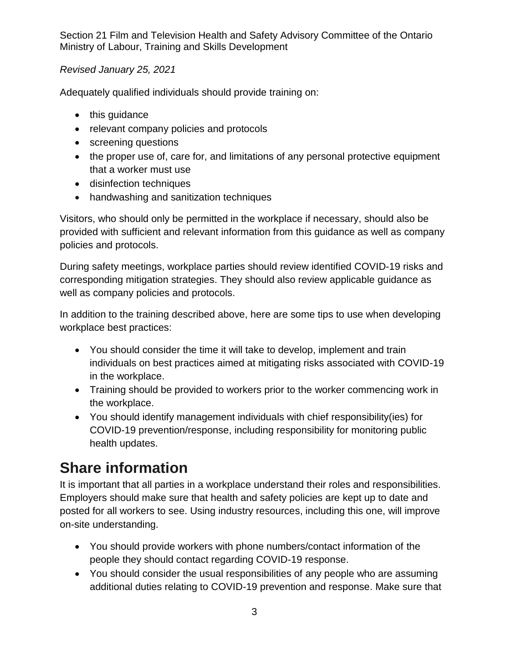#### *Revised January 25, 2021*

Adequately qualified individuals should provide training on:

- this guidance
- relevant company policies and protocols
- screening questions
- the proper use of, care for, and limitations of any personal protective equipment that a worker must use
- disinfection techniques
- handwashing and sanitization techniques

Visitors, who should only be permitted in the workplace if necessary, should also be provided with sufficient and relevant information from this guidance as well as company policies and protocols.

During safety meetings, workplace parties should review identified COVID-19 risks and corresponding mitigation strategies. They should also review applicable guidance as well as company policies and protocols.

In addition to the training described above, here are some tips to use when developing workplace best practices:

- You should consider the time it will take to develop, implement and train individuals on best practices aimed at mitigating risks associated with COVID-19 in the workplace.
- Training should be provided to workers prior to the worker commencing work in the workplace.
- You should identify management individuals with chief responsibility(ies) for COVID-19 prevention/response, including responsibility for monitoring public health updates.

# **Share information**

It is important that all parties in a workplace understand their roles and responsibilities. Employers should make sure that health and safety policies are kept up to date and posted for all workers to see. Using industry resources, including this one, will improve on-site understanding.

- You should provide workers with phone numbers/contact information of the people they should contact regarding COVID-19 response.
- You should consider the usual responsibilities of any people who are assuming additional duties relating to COVID-19 prevention and response. Make sure that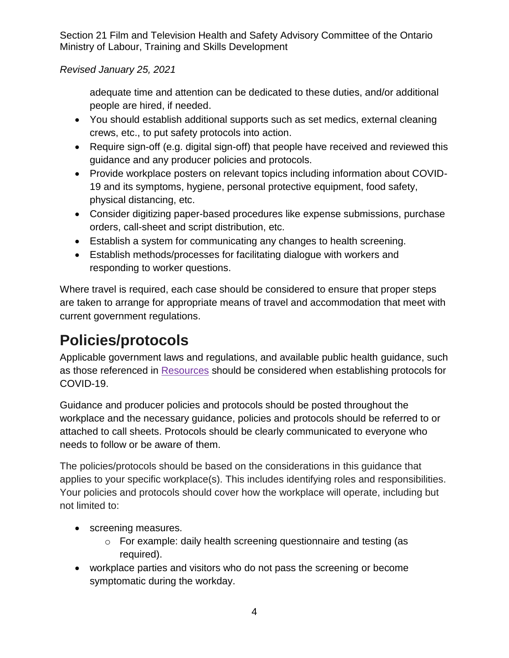#### *Revised January 25, 2021*

adequate time and attention can be dedicated to these duties, and/or additional people are hired, if needed.

- You should establish additional supports such as set medics, external cleaning crews, etc., to put safety protocols into action.
- Require sign-off (e.g. digital sign-off) that people have received and reviewed this guidance and any producer policies and protocols.
- Provide workplace posters on relevant topics including information about COVID-19 and its symptoms, hygiene, personal protective equipment, food safety, physical distancing, etc.
- Consider digitizing paper-based procedures like expense submissions, purchase orders, call-sheet and script distribution, etc.
- Establish a system for communicating any changes to health screening.
- Establish methods/processes for facilitating dialogue with workers and responding to worker questions.

Where travel is required, each case should be considered to ensure that proper steps are taken to arrange for appropriate means of travel and accommodation that meet with current government regulations.

# **Policies/protocols**

Applicable government laws and regulations, and available public health guidance, such as those referenced in [Resources](#page-16-0) should be considered when establishing protocols for COVID-19.

Guidance and producer policies and protocols should be posted throughout the workplace and the necessary guidance, policies and protocols should be referred to or attached to call sheets. Protocols should be clearly communicated to everyone who needs to follow or be aware of them.

The policies/protocols should be based on the considerations in this guidance that applies to your specific workplace(s). This includes identifying roles and responsibilities. Your policies and protocols should cover how the workplace will operate, including but not limited to:

- screening measures.
	- o For example: daily health screening questionnaire and testing (as required).
- workplace parties and visitors who do not pass the screening or become symptomatic during the workday.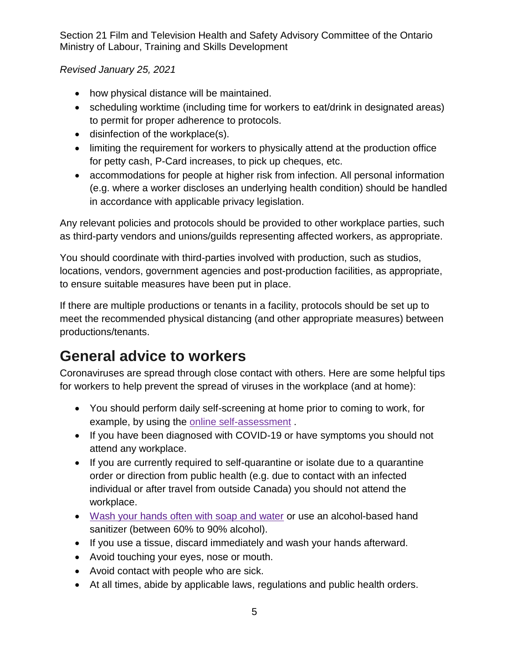*Revised January 25, 2021*

- how physical distance will be maintained.
- scheduling worktime (including time for workers to eat/drink in designated areas) to permit for proper adherence to protocols.
- disinfection of the workplace(s).
- limiting the requirement for workers to physically attend at the production office for petty cash, P-Card increases, to pick up cheques, etc.
- accommodations for people at higher risk from infection. All personal information (e.g. where a worker discloses an underlying health condition) should be handled in accordance with applicable privacy legislation.

Any relevant policies and protocols should be provided to other workplace parties, such as third-party vendors and unions/guilds representing affected workers, as appropriate.

You should coordinate with third-parties involved with production, such as studios, locations, vendors, government agencies and post-production facilities, as appropriate, to ensure suitable measures have been put in place.

If there are multiple productions or tenants in a facility, protocols should be set up to meet the recommended physical distancing (and other appropriate measures) between productions/tenants.

# **General advice to workers**

Coronaviruses are spread through close contact with others. Here are some helpful tips for workers to help prevent the spread of viruses in the workplace (and at home):

- You should perform daily self-screening at home prior to coming to work, for example, by using the [online self-assessment](https://www.ontario.ca/page/2019-novel-coronavirus-covid-19-self-assessment) .
- If you have been diagnosed with COVID-19 or have symptoms you should not attend any workplace.
- If you are currently required to self-quarantine or isolate due to a quarantine order or direction from public health (e.g. due to contact with an infected individual or after travel from outside Canada) you should not attend the workplace.
- [Wash your hands often with soap and water](https://www.publichealthontario.ca/-/media/documents/ncov/factsheet/factsheet-covid-19-hand-hygiene.pdf?la=en) or use an alcohol-based hand sanitizer (between 60% to 90% alcohol).
- If you use a tissue, discard immediately and wash your hands afterward.
- Avoid touching your eyes, nose or mouth.
- Avoid contact with people who are sick.
- At all times, abide by applicable laws, regulations and public health orders.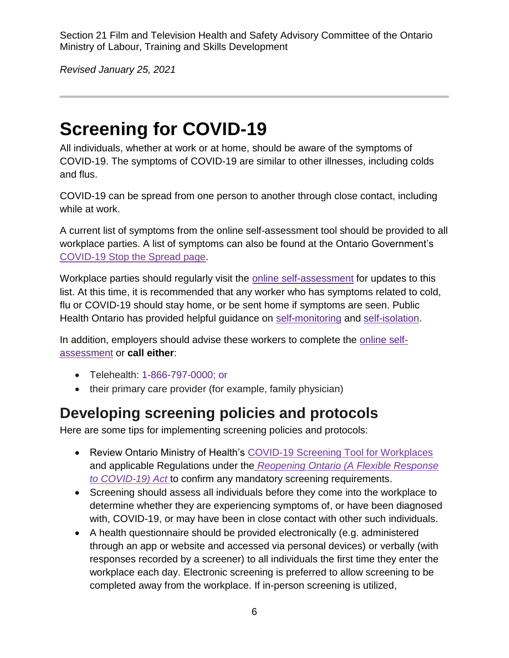*Revised January 25, 2021*

# <span id="page-5-0"></span>**Screening for COVID-19**

All individuals, whether at work or at home, should be aware of the symptoms of COVID-19. The symptoms of COVID-19 are similar to other illnesses, including colds and flus.

COVID-19 can be spread from one person to another through close contact, including while at work.

A current list of symptoms from the online self-assessment tool should be provided to all workplace parties. A list of symptoms can also be found at the Ontario Government's [COVID-19 Stop the Spread page.](https://www.ontario.ca/page/covid-19-stop-spread)

Workplace parties should regularly visit the online [self-assessment](https://www.ontario.ca/page/2019-novel-coronavirus-covid-19-self-assessment) for updates to this list. At this time, it is recommended that any worker who has symptoms related to cold, flu or COVID-19 should stay home, or be sent home if symptoms are seen. Public Health Ontario has provided helpful guidance on [self-monitoring](https://www.publichealthontario.ca/-/media/documents/ncov/factsheet-covid-19-self-monitor.pdf?la=en) and [self-isolation.](https://www.publichealthontario.ca/-/media/documents/ncov/factsheet-covid-19-how-to-self-isolate.pdf?la=en)

In addition, employers should advise these workers to complete the [online self](https://www.ontario.ca/page/2019-novel-coronavirus-covid-19-self-assessment)[assessment](https://www.ontario.ca/page/2019-novel-coronavirus-covid-19-self-assessment) or **call either**:

- Telehealth: [1-866-797-0000;](tel:+18667970000) or
- their primary care provider (for example, family physician)

# **Developing screening policies and protocols**

Here are some tips for implementing screening policies and protocols:

- Review Ontario Ministry of Health's [COVID-19 Screening Tool for Workplaces](https://covid-19.ontario.ca/covid19-cms-assets/2021-01/Guidance-Screening-Workplace-Jan7_EN.pdf) and applicable Regulations under the *[Reopening Ontario \(A Flexible Response](https://www.ontario.ca/laws/statute/20r17)  [to COVID-19\) Act](https://www.ontario.ca/laws/statute/20r17)* to confirm any mandatory screening requirements.
- Screening should assess all individuals before they come into the workplace to determine whether they are experiencing symptoms of, or have been diagnosed with, COVID-19, or may have been in close contact with other such individuals.
- A health questionnaire should be provided electronically (e.g. administered through an app or website and accessed via personal devices) or verbally (with responses recorded by a screener) to all individuals the first time they enter the workplace each day. Electronic screening is preferred to allow screening to be completed away from the workplace. If in-person screening is utilized,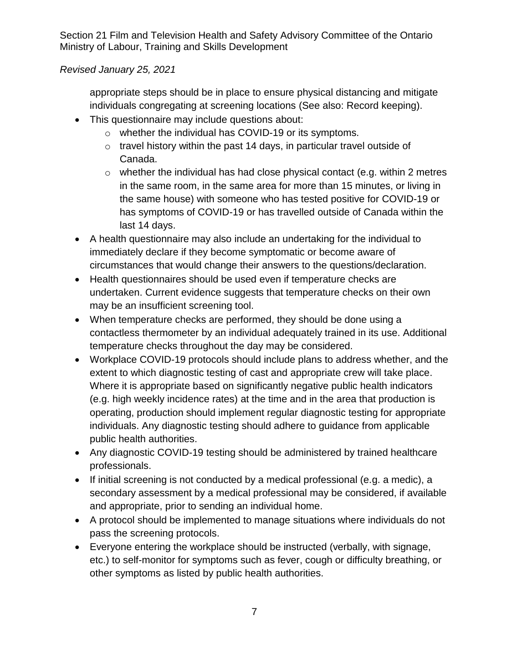#### *Revised January 25, 2021*

appropriate steps should be in place to ensure physical distancing and mitigate individuals congregating at screening locations (See also: [Record keeping\)](#page-7-0).

- This questionnaire may include questions about:
	- o whether the individual has COVID-19 or its symptoms.
	- $\circ$  travel history within the past 14 days, in particular travel outside of Canada.
	- $\circ$  whether the individual has had close physical contact (e.g. within 2 metres in the same room, in the same area for more than 15 minutes, or living in the same house) with someone who has tested positive for COVID-19 or has symptoms of COVID-19 or has travelled outside of Canada within the last 14 days.
- A health questionnaire may also include an undertaking for the individual to immediately declare if they become symptomatic or become aware of circumstances that would change their answers to the questions/declaration.
- Health questionnaires should be used even if temperature checks are undertaken. Current evidence suggests that temperature checks on their own may be an insufficient screening tool.
- When temperature checks are performed, they should be done using a contactless thermometer by an individual adequately trained in its use. Additional temperature checks throughout the day may be considered.
- Workplace COVID-19 protocols should include plans to address whether, and the extent to which diagnostic testing of cast and appropriate crew will take place. Where it is appropriate based on significantly negative public health indicators (e.g. high weekly incidence rates) at the time and in the area that production is operating, production should implement regular diagnostic testing for appropriate individuals. Any diagnostic testing should adhere to guidance from applicable public health authorities.
- Any diagnostic COVID-19 testing should be administered by trained healthcare professionals.
- If initial screening is not conducted by a medical professional (e.g. a medic), a secondary assessment by a medical professional may be considered, if available and appropriate, prior to sending an individual home.
- A protocol should be implemented to manage situations where individuals do not pass the screening protocols.
- Everyone entering the workplace should be instructed (verbally, with signage, etc.) to self-monitor for symptoms such as fever, cough or difficulty breathing, or other symptoms as listed by public health authorities.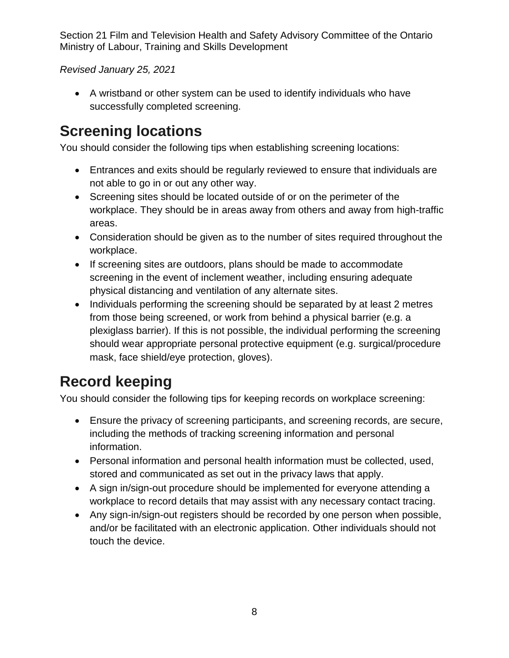*Revised January 25, 2021*

• A wristband or other system can be used to identify individuals who have successfully completed screening.

# **Screening locations**

You should consider the following tips when establishing screening locations:

- Entrances and exits should be regularly reviewed to ensure that individuals are not able to go in or out any other way.
- Screening sites should be located outside of or on the perimeter of the workplace. They should be in areas away from others and away from high-traffic areas.
- Consideration should be given as to the number of sites required throughout the workplace.
- If screening sites are outdoors, plans should be made to accommodate screening in the event of inclement weather, including ensuring adequate physical distancing and ventilation of any alternate sites.
- Individuals performing the screening should be separated by at least 2 metres from those being screened, or work from behind a physical barrier (e.g. a plexiglass barrier). If this is not possible, the individual performing the screening should wear appropriate personal protective equipment (e.g. surgical/procedure mask, face shield/eye protection, gloves).

# <span id="page-7-0"></span>**Record keeping**

You should consider the following tips for keeping records on workplace screening:

- Ensure the privacy of screening participants, and screening records, are secure, including the methods of tracking screening information and personal information.
- Personal information and personal health information must be collected, used, stored and communicated as set out in the privacy laws that apply.
- A sign in/sign-out procedure should be implemented for everyone attending a workplace to record details that may assist with any necessary contact tracing.
- Any sign-in/sign-out registers should be recorded by one person when possible, and/or be facilitated with an electronic application. Other individuals should not touch the device.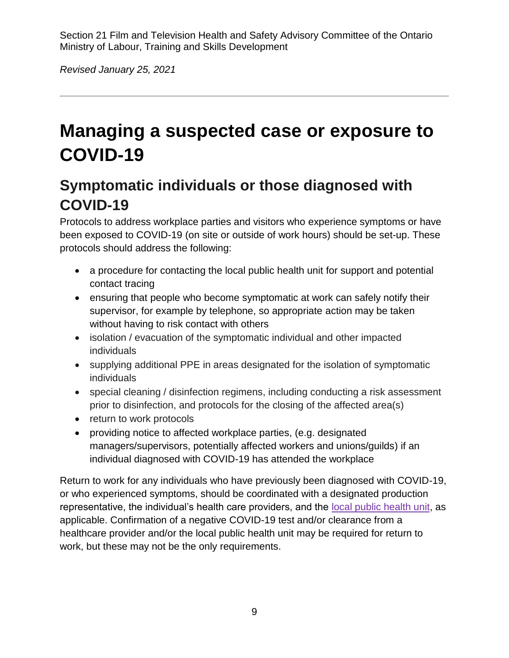*Revised January 25, 2021*

# **Managing a suspected case or exposure to COVID-19**

# **Symptomatic individuals or those diagnosed with COVID-19**

Protocols to address workplace parties and visitors who experience symptoms or have been exposed to COVID-19 (on site or outside of work hours) should be set-up. These protocols should address the following:

- a procedure for contacting the local public health unit for support and potential contact tracing
- ensuring that people who become symptomatic at work can safely notify their supervisor, for example by telephone, so appropriate action may be taken without having to risk contact with others
- isolation / evacuation of the symptomatic individual and other impacted individuals
- supplying additional PPE in areas designated for the isolation of symptomatic individuals
- special cleaning / disinfection regimens, including conducting a risk assessment prior to disinfection, and protocols for the closing of the affected area(s)
- return to work protocols
- providing notice to affected workplace parties, (e.g. designated managers/supervisors, potentially affected workers and unions/guilds) if an individual diagnosed with COVID-19 has attended the workplace

Return to work for any individuals who have previously been diagnosed with COVID-19, or who experienced symptoms, should be coordinated with a designated production representative, the individual's health care providers, and the [local public health unit,](http://www.health.gov.on.ca/en/common/system/services/phu/locations.aspx) as applicable. Confirmation of a negative COVID-19 test and/or clearance from a healthcare provider and/or the local public health unit may be required for return to work, but these may not be the only requirements.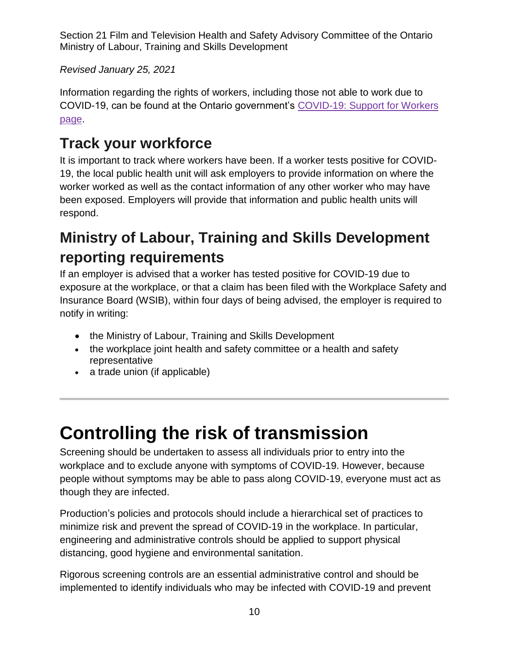*Revised January 25, 2021*

Information regarding the rights of workers, including those not able to work due to COVID-19, can be found at the Ontario government's [COVID-19: Support for Workers](https://www.ontario.ca/page/covid-19-support-workers#section-0)  [page.](https://www.ontario.ca/page/covid-19-support-workers#section-0)

# **Track your workforce**

It is important to track where workers have been. If a worker tests positive for COVID-19, the local public health unit will ask employers to provide information on where the worker worked as well as the contact information of any other worker who may have been exposed. Employers will provide that information and public health units will respond.

# **Ministry of Labour, Training and Skills Development reporting requirements**

If an employer is advised that a worker has tested positive for COVID-19 due to exposure at the workplace, or that a claim has been filed with the Workplace Safety and Insurance Board (WSIB), within four days of being advised, the employer is required to notify in writing:

- the Ministry of Labour, Training and Skills Development
- the workplace joint health and safety committee or a health and safety representative
- a trade union (if applicable)

# **Controlling the risk of transmission**

Screening should be undertaken to assess all individuals prior to entry into the workplace and to exclude anyone with symptoms of COVID-19. However, because people without symptoms may be able to pass along COVID-19, everyone must act as though they are infected.

Production's policies and protocols should include a hierarchical set of practices to minimize risk and prevent the spread of COVID-19 in the workplace. In particular, engineering and administrative controls should be applied to support physical distancing, good hygiene and environmental sanitation.

Rigorous screening controls are an essential administrative control and should be implemented to identify individuals who may be infected with COVID-19 and prevent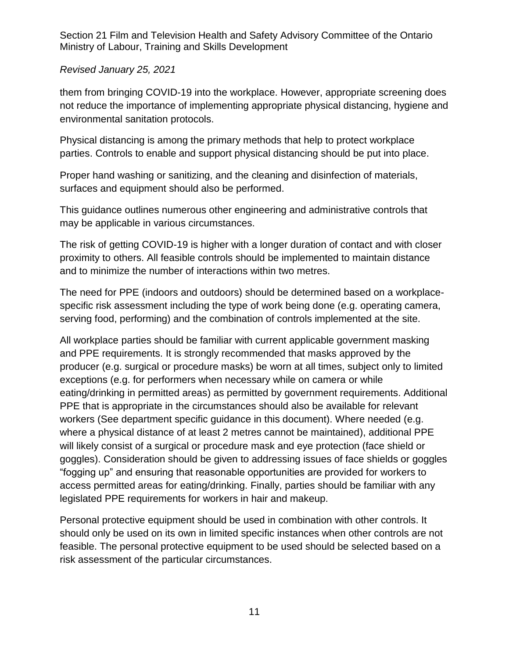#### *Revised January 25, 2021*

them from bringing COVID-19 into the workplace. However, appropriate screening does not reduce the importance of implementing appropriate physical distancing, hygiene and environmental sanitation protocols.

Physical distancing is among the primary methods that help to protect workplace parties. Controls to enable and support physical distancing should be put into place.

Proper hand washing or sanitizing, and the cleaning and disinfection of materials, surfaces and equipment should also be performed.

This guidance outlines numerous other engineering and administrative controls that may be applicable in various circumstances.

The risk of getting COVID-19 is higher with a longer duration of contact and with closer proximity to others. All feasible controls should be implemented to maintain distance and to minimize the number of interactions within two metres.

The need for PPE (indoors and outdoors) should be determined based on a workplacespecific risk assessment including the type of work being done (e.g. operating camera, serving food, performing) and the combination of controls implemented at the site.

All workplace parties should be familiar with current applicable government masking and PPE requirements. It is strongly recommended that masks approved by the producer (e.g. surgical or procedure masks) be worn at all times, subject only to limited exceptions (e.g. for performers when necessary while on camera or while eating/drinking in permitted areas) as permitted by government requirements. Additional PPE that is appropriate in the circumstances should also be available for relevant workers (See department specific guidance in this document). Where needed (e.g. where a physical distance of at least 2 metres cannot be maintained), additional PPE will likely consist of a surgical or procedure mask and eye protection (face shield or goggles). Consideration should be given to addressing issues of face shields or goggles "fogging up" and ensuring that reasonable opportunities are provided for workers to access permitted areas for eating/drinking. Finally, parties should be familiar with any legislated PPE requirements for workers in hair and makeup.

Personal protective equipment should be used in combination with other controls. It should only be used on its own in limited specific instances when other controls are not feasible. The personal protective equipment to be used should be selected based on a risk assessment of the particular circumstances.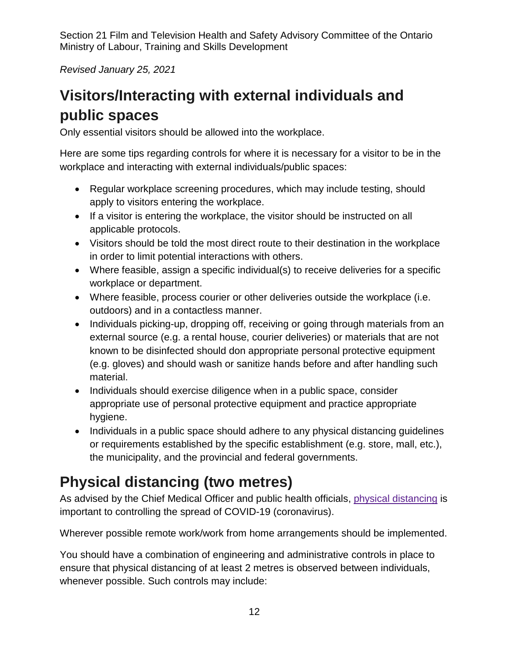*Revised January 25, 2021*

# <span id="page-11-1"></span>**Visitors/Interacting with external individuals and public spaces**

Only essential visitors should be allowed into the workplace.

Here are some tips regarding controls for where it is necessary for a visitor to be in the workplace and interacting with external individuals/public spaces:

- Regular workplace screening procedures, which may include testing, should apply to visitors entering the workplace.
- If a visitor is entering the workplace, the visitor should be instructed on all applicable protocols.
- Visitors should be told the most direct route to their destination in the workplace in order to limit potential interactions with others.
- Where feasible, assign a specific individual(s) to receive deliveries for a specific workplace or department.
- Where feasible, process courier or other deliveries outside the workplace (i.e. outdoors) and in a contactless manner.
- Individuals picking-up, dropping off, receiving or going through materials from an external source (e.g. a rental house, courier deliveries) or materials that are not known to be disinfected should don appropriate personal protective equipment (e.g. gloves) and should wash or sanitize hands before and after handling such material.
- Individuals should exercise diligence when in a public space, consider appropriate use of personal protective equipment and practice appropriate hygiene.
- Individuals in a public space should adhere to any physical distancing quidelines or requirements established by the specific establishment (e.g. store, mall, etc.), the municipality, and the provincial and federal governments.

# <span id="page-11-0"></span>**Physical distancing (two metres)**

As advised by the Chief Medical Officer and public health officials, [physical distancing](https://www.publichealthontario.ca/-/media/documents/ncov/factsheet/factsheet-covid-19-guide-physical-distancing.pdf?la=en) is important to controlling the spread of COVID-19 (coronavirus).

Wherever possible remote work/work from home arrangements should be implemented.

You should have a combination of engineering and administrative controls in place to ensure that physical distancing of at least 2 metres is observed between individuals, whenever possible. Such controls may include: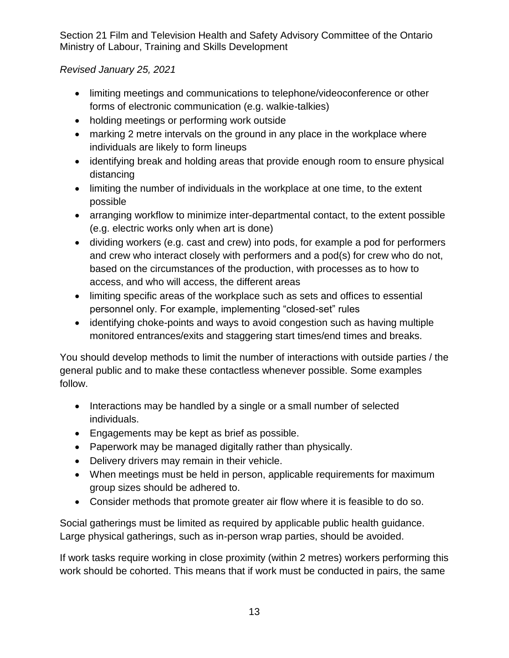#### *Revised January 25, 2021*

- limiting meetings and communications to telephone/videoconference or other forms of electronic communication (e.g. walkie-talkies)
- holding meetings or performing work outside
- marking 2 metre intervals on the ground in any place in the workplace where individuals are likely to form lineups
- identifying break and holding areas that provide enough room to ensure physical distancing
- limiting the number of individuals in the workplace at one time, to the extent possible
- arranging workflow to minimize inter-departmental contact, to the extent possible (e.g. electric works only when art is done)
- dividing workers (e.g. cast and crew) into pods, for example a pod for performers and crew who interact closely with performers and a pod(s) for crew who do not, based on the circumstances of the production, with processes as to how to access, and who will access, the different areas
- limiting specific areas of the workplace such as sets and offices to essential personnel only. For example, implementing "closed-set" rules
- identifying choke-points and ways to avoid congestion such as having multiple monitored entrances/exits and staggering start times/end times and breaks.

You should develop methods to limit the number of interactions with outside parties / the general public and to make these contactless whenever possible. Some examples follow.

- Interactions may be handled by a single or a small number of selected individuals.
- Engagements may be kept as brief as possible.
- Paperwork may be managed digitally rather than physically.
- Delivery drivers may remain in their vehicle.
- When meetings must be held in person, applicable requirements for maximum group sizes should be adhered to.
- Consider methods that promote greater air flow where it is feasible to do so.

Social gatherings must be limited as required by applicable public health guidance. Large physical gatherings, such as in-person wrap parties, should be avoided.

If work tasks require working in close proximity (within 2 metres) workers performing this work should be cohorted. This means that if work must be conducted in pairs, the same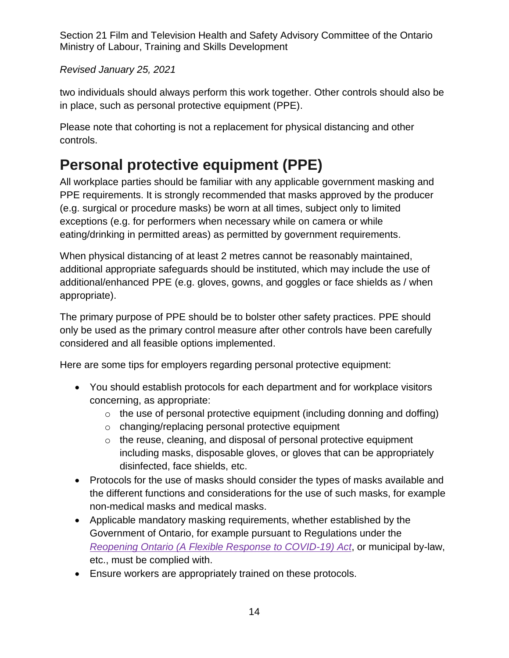#### *Revised January 25, 2021*

two individuals should always perform this work together. Other controls should also be in place, such as personal protective equipment (PPE).

Please note that cohorting is not a replacement for physical distancing and other controls.

# <span id="page-13-0"></span>**Personal protective equipment (PPE)**

All workplace parties should be familiar with any applicable government masking and PPE requirements. It is strongly recommended that masks approved by the producer (e.g. surgical or procedure masks) be worn at all times, subject only to limited exceptions (e.g. for performers when necessary while on camera or while eating/drinking in permitted areas) as permitted by government requirements.

When physical distancing of at least 2 metres cannot be reasonably maintained, additional appropriate safeguards should be instituted, which may include the use of additional/enhanced PPE (e.g. gloves, gowns, and goggles or face shields as / when appropriate).

The primary purpose of PPE should be to bolster other safety practices. PPE should only be used as the primary control measure after other controls have been carefully considered and all feasible options implemented.

Here are some tips for employers regarding personal protective equipment:

- You should establish protocols for each department and for workplace visitors concerning, as appropriate:
	- $\circ$  the use of personal protective equipment (including donning and doffing)
	- o changing/replacing personal protective equipment
	- o the reuse, cleaning, and disposal of personal protective equipment including masks, disposable gloves, or gloves that can be appropriately disinfected, face shields, etc.
- Protocols for the use of masks should consider the types of masks available and the different functions and considerations for the use of such masks, for example [non-medical masks](https://www.canada.ca/en/public-health/services/diseases/2019-novel-coronavirus-infection/prevention-risks/about-non-medical-masks-face-coverings.html) and [medical masks.](https://www.canada.ca/en/health-canada/services/drugs-health-products/medical-devices/masks-respirators-covid19.html)
- Applicable mandatory masking requirements, whether established by the Government of Ontario, for example pursuant to Regulations under the *[Reopening Ontario \(A Flexible Response to COVID-19\) Act](https://www.ontario.ca/laws/statute/20r17)*, or municipal by-law, etc., must be complied with.
- Ensure workers are appropriately trained on these protocols.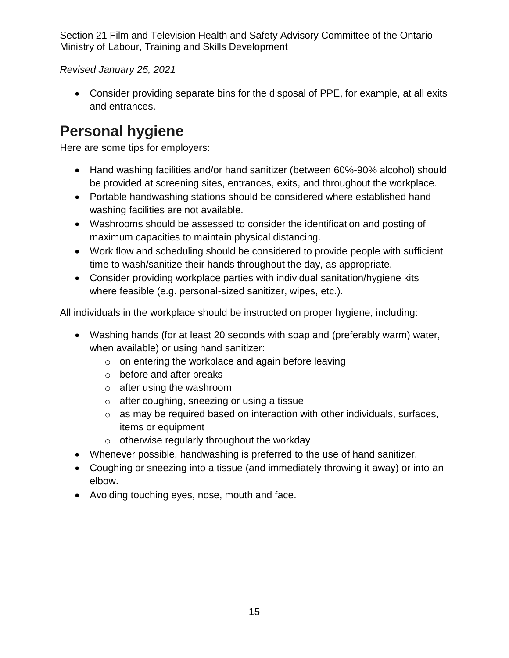*Revised January 25, 2021*

• Consider providing separate bins for the disposal of PPE, for example, at all exits and entrances.

# **Personal hygiene**

Here are some tips for employers:

- Hand washing facilities and/or hand sanitizer (between 60%-90% alcohol) should be provided at screening sites, entrances, exits, and throughout the workplace.
- Portable handwashing stations should be considered where established hand washing facilities are not available.
- Washrooms should be assessed to consider the identification and posting of maximum capacities to maintain physical distancing.
- Work flow and scheduling should be considered to provide people with sufficient time to wash/sanitize their hands throughout the day, as appropriate.
- Consider providing workplace parties with individual sanitation/hygiene kits where feasible (e.g. personal-sized sanitizer, wipes, etc.).

All individuals in the workplace should be instructed on proper hygiene, including:

- Washing hands (for at least 20 seconds with soap and (preferably warm) water, when available) or using hand sanitizer:
	- o on entering the workplace and again before leaving
	- o before and after breaks
	- o after using the washroom
	- o after coughing, sneezing or using a tissue
	- o as may be required based on interaction with other individuals, surfaces, items or equipment
	- $\circ$  otherwise regularly throughout the workday
- Whenever possible, handwashing is preferred to the use of hand sanitizer.
- Coughing or sneezing into a tissue (and immediately throwing it away) or into an elbow.
- <span id="page-14-0"></span>• Avoiding touching eyes, nose, mouth and face.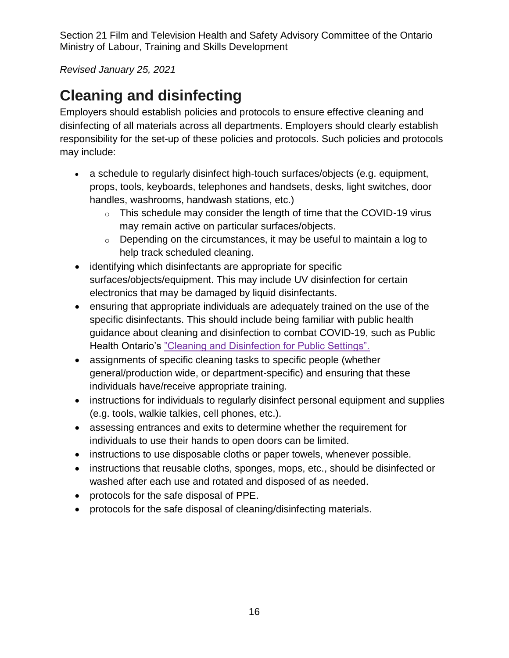*Revised January 25, 2021*

# **Cleaning and disinfecting**

Employers should establish policies and protocols to ensure effective cleaning and disinfecting of all materials across all departments. Employers should clearly establish responsibility for the set-up of these policies and protocols. Such policies and protocols may include:

- a schedule to regularly disinfect high-touch surfaces/objects (e.g. equipment, props, tools, keyboards, telephones and handsets, desks, light switches, door handles, washrooms, handwash stations, etc.)
	- o This schedule may consider the length of time that the COVID-19 virus may remain active on particular surfaces/objects.
	- $\circ$  Depending on the circumstances, it may be useful to maintain a log to help track scheduled cleaning.
- identifying which disinfectants are appropriate for specific surfaces/objects/equipment. This may include UV disinfection for certain electronics that may be damaged by liquid disinfectants.
- ensuring that appropriate individuals are adequately trained on the use of the specific disinfectants. This should include being familiar with public health guidance about cleaning and disinfection to combat COVID-19, such as Public Health Ontario's ["Cleaning and Disinfection for Public Settings".](https://www.publichealthontario.ca/-/media/documents/ncov/factsheet-covid-19-environmental-cleaning.pdf?la=en)
- assignments of specific cleaning tasks to specific people (whether general/production wide, or department-specific) and ensuring that these individuals have/receive appropriate training.
- instructions for individuals to regularly disinfect personal equipment and supplies (e.g. tools, walkie talkies, cell phones, etc.).
- assessing entrances and exits to determine whether the requirement for individuals to use their hands to open doors can be limited.
- instructions to use disposable cloths or paper towels, whenever possible.
- instructions that reusable cloths, sponges, mops, etc., should be disinfected or washed after each use and rotated and disposed of as needed.
- protocols for the safe disposal of PPE.
- <span id="page-15-0"></span>• protocols for the safe disposal of cleaning/disinfecting materials.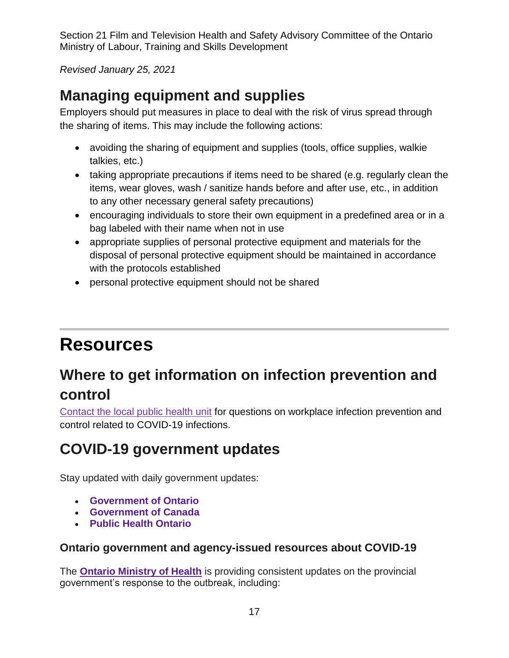*Revised January 25, 2021*

# **Managing equipment and supplies**

Employers should put measures in place to deal with the risk of virus spread through the sharing of items. This may include the following actions:

- avoiding the sharing of equipment and supplies (tools, office supplies, walkie talkies, etc.)
- taking appropriate precautions if items need to be shared (e.g. regularly clean the items, wear gloves, wash / sanitize hands before and after use, etc., in addition to any other necessary general safety precautions)
- encouraging individuals to store their own equipment in a predefined area or in a bag labeled with their name when not in use
- appropriate supplies of personal protective equipment and materials for the disposal of personal protective equipment should be maintained in accordance with the protocols established
- <span id="page-16-0"></span>• personal protective equipment should not be shared

# **Resources**

# **Where to get information on infection prevention and control**

[Contact the local public health unit](https://www.phdapps.health.gov.on.ca/PHULocator/) for questions on workplace infection prevention and control related to COVID-19 infections.

# **COVID-19 government updates**

Stay updated with daily government updates:

- **[Government of Ontario](https://www.ontario.ca/page/2019-novel-coronavirus)**
- **[Government of Canada](http://www.canada.ca/coronavirus)**
- **[Public Health Ontario](https://www.publichealthontario.ca/en/diseases-and-conditions/infectious-diseases/respiratory-diseases/novel-coronavirus)**

## **Ontario government and agency-issued resources about COVID-19**

The **[Ontario Ministry of Health](https://www.ontario.ca/page/2019-novel-coronavirus)** is providing consistent updates on the provincial government's response to the outbreak, including: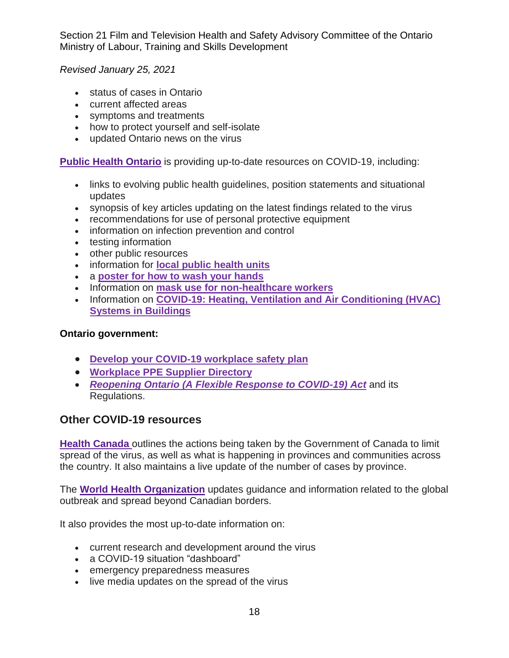*Revised January 25, 2021*

- status of cases in Ontario
- current affected areas
- symptoms and treatments
- how to protect yourself and self-isolate
- updated Ontario news on the virus

**[Public Health Ontario](https://www.publichealthontario.ca/en/diseases-and-conditions/infectious-diseases/respiratory-diseases/novel-coronavirus)** is providing up-to-date resources on COVID-19, including:

- links to evolving public health guidelines, position statements and situational updates
- synopsis of key articles updating on the latest findings related to the virus
- recommendations for use of personal protective equipment
- information on infection prevention and control
- testing information
- other public resources
- information for **[local public health units](http://www.health.gov.on.ca/en/common/system/services/phu/locations.aspx)**
- a **[poster for how to wash your hands](https://www.publichealthontario.ca/-/media/documents/ncov/factsheet/factsheet-covid-19-hand-hygiene.pdf?la=en)**
- Information on **[mask use for non-healthcare workers](https://www.publichealthontario.ca/7-/media/documents/ncov/factsheet/2020/05/factsheet-covid-19-masks-not-healthcare.pdf?la=en)**
- Information on **[COVID-19: Heating, Ventilation and Air Conditioning \(HVAC\)](https://www.publichealthontario.ca/-/media/documents/ncov/ipac/2020/09/covid-19-hvac-systems-in-buildings.pdf?la=en)  [Systems in Buildings](https://www.publichealthontario.ca/-/media/documents/ncov/ipac/2020/09/covid-19-hvac-systems-in-buildings.pdf?la=en)**

#### **Ontario government:**

- **[Develop your COVID-19 workplace safety plan](https://www.ontario.ca/page/develop-your-covid-19-workplace-safety-plan)**
- **[Workplace PPE Supplier Directory](https://covid-19.ontario.ca/workplace-ppe-supplier-directory#no-back)**
- *[Reopening Ontario \(A Flexible Response to COVID-19\) Act](https://www.ontario.ca/laws/statute/20r17)* and its Regulations.

#### **Other COVID-19 resources**

**[Health Canada](https://www.canada.ca/en/public-health/services/diseases/coronavirus-disease-covid-19.html)** outlines the actions being taken by the Government of Canada to limit spread of the virus, as well as what is happening in provinces and communities across the country. It also maintains a live update of the number of cases by province.

The **[World Health Organization](https://www.who.int/emergencies/diseases/novel-coronavirus-2019)** updates guidance and information related to the global outbreak and spread beyond Canadian borders.

It also provides the most up-to-date information on:

- current research and development around the virus
- a COVID-19 situation "dashboard"
- emergency preparedness measures
- live media updates on the spread of the virus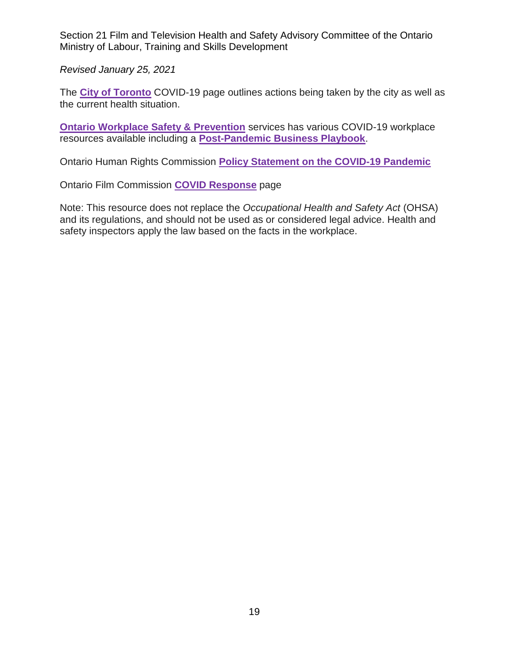*Revised January 25, 2021*

The **[City of Toronto](https://www.toronto.ca/home/covid-19/)** COVID-19 page outlines actions being taken by the city as well as the current health situation.

**[Ontario Workplace Safety & Prevention](https://www.wsps.ca/Information-Resources/Topics/COVID-19-Keeping-safe-during-the-pandemic.aspx)** services has various COVID-19 workplace resources available including a **[Post-Pandemic Business Playbook](https://www.wsps.ca/WSPS/media/Site/Resources/Downloads/post-pandemic-business-playbook.pdf)**.

Ontario Human Rights Commission **[Policy Statement on the COVID-19 Pandemic](http://www.ohrc.on.ca/en/news_centre/ohrc-policy-statement-covid-19-pandemic)**

Ontario Film Commission **[COVID Response](https://digitallibrary.ontariocreates.ca/DigitalLibrary/CovidUpdate.aspx)** page

Note: This resource does not replace the *Occupational Health and Safety Act* (OHSA) and its regulations, and should not be used as or considered legal advice. Health and safety inspectors apply the law based on the facts in the workplace.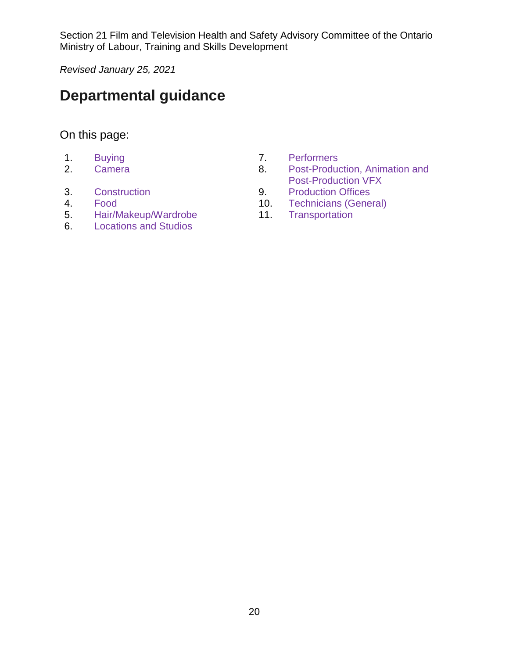*Revised January 25, 2021*

# **Departmental guidance**

#### On this page:

- 
- 
- 
- 
- 5. [Hair/Makeup/Wardrobe](#page-29-0) 11.
- 6. [Locations and Studios](#page-33-0)
- 1. [Buying](#page-20-0) 2. [Performers](#page-37-0)<br>
2. Camera 2. Post-Produc
- 2. [Camera](#page-21-0) 8. Post-Production, Animation and [Post-Production VFX](#page-42-0)
- 3. [Construction](#page-24-0) 9. [Production Offices](#page-44-0)
- 4. [Food](#page-26-0) 10. [Technicians \(General\)](#page-46-0)<br>5. Hair/Makeup/Wardrobe 11. Transportation
	-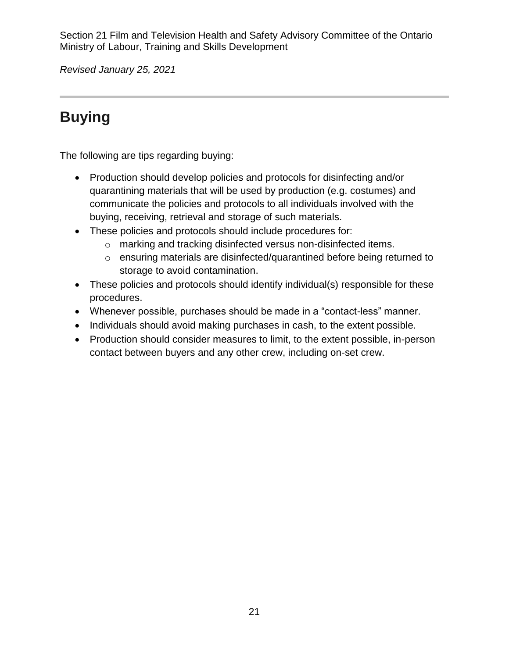*Revised January 25, 2021*

# <span id="page-20-0"></span>**Buying**

The following are tips regarding buying:

- Production should develop policies and protocols for disinfecting and/or quarantining materials that will be used by production (e.g. costumes) and communicate the policies and protocols to all individuals involved with the buying, receiving, retrieval and storage of such materials.
- These policies and protocols should include procedures for:
	- o marking and tracking disinfected versus non-disinfected items.
	- o ensuring materials are disinfected/quarantined before being returned to storage to avoid contamination.
- These policies and protocols should identify individual(s) responsible for these procedures.
- Whenever possible, purchases should be made in a "contact-less" manner.
- Individuals should avoid making purchases in cash, to the extent possible.
- Production should consider measures to limit, to the extent possible, in-person contact between buyers and any other crew, including on-set crew.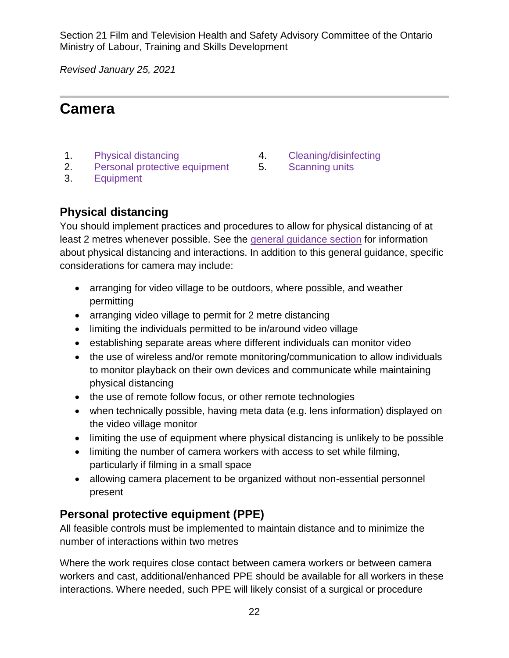*Revised January 25, 2021*

## <span id="page-21-0"></span>**Camera**

- 1. [Physical distancing](#page-21-1) and the [Cleaning/disinfecting](#page-22-0)
- 2. [Personal protective equipment](#page-21-2) 5. [Scanning units](#page-22-1)
- 3. [Equipment](#page-22-2)
- 
- 

## <span id="page-21-1"></span>**Physical distancing**

You should implement practices and procedures to allow for physical distancing of at least 2 metres whenever possible. See the [general guidance](#page-11-0) section for information about physical distancing and interactions. In addition to this general guidance, specific considerations for camera may include:

- arranging for video village to be outdoors, where possible, and weather permitting
- arranging video village to permit for 2 metre distancing
- limiting the individuals permitted to be in/around video village
- establishing separate areas where different individuals can monitor video
- the use of wireless and/or remote monitoring/communication to allow individuals to monitor playback on their own devices and communicate while maintaining physical distancing
- the use of remote follow focus, or other remote technologies
- when technically possible, having meta data (e.g. lens information) displayed on the video village monitor
- limiting the use of equipment where physical distancing is unlikely to be possible
- limiting the number of camera workers with access to set while filming, particularly if filming in a small space
- allowing camera placement to be organized without non-essential personnel present

## <span id="page-21-2"></span>**Personal protective equipment (PPE)**

All feasible controls must be implemented to maintain distance and to minimize the number of interactions within two metres

Where the work requires close contact between camera workers or between camera workers and cast, additional/enhanced PPE should be available for all workers in these interactions. Where needed, such PPE will likely consist of a surgical or procedure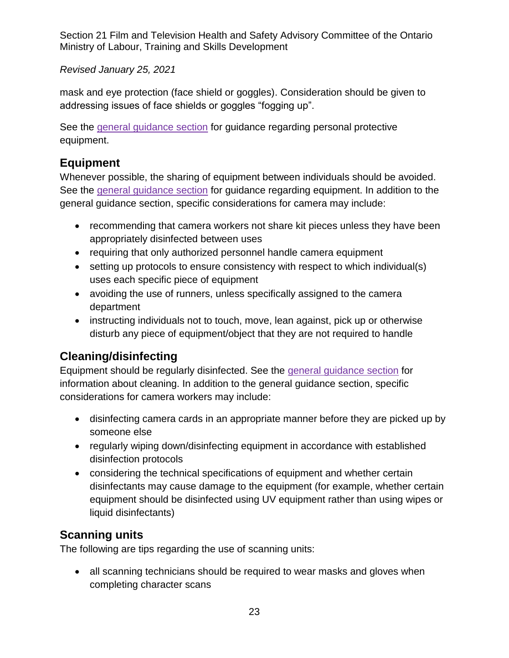#### *Revised January 25, 2021*

mask and eye protection (face shield or goggles). Consideration should be given to addressing issues of face shields or goggles "fogging up".

See the [general guidance section](#page-13-0) for guidance regarding personal protective equipment.

#### <span id="page-22-2"></span>**Equipment**

Whenever possible, the sharing of equipment between individuals should be avoided. See the [general guidance section](#page-15-0) for guidance regarding equipment. In addition to the general guidance section, specific considerations for camera may include:

- recommending that camera workers not share kit pieces unless they have been appropriately disinfected between uses
- requiring that only authorized personnel handle camera equipment
- setting up protocols to ensure consistency with respect to which individual(s) uses each specific piece of equipment
- avoiding the use of runners, unless specifically assigned to the camera department
- instructing individuals not to touch, move, lean against, pick up or otherwise disturb any piece of equipment/object that they are not required to handle

## <span id="page-22-0"></span>**Cleaning/disinfecting**

Equipment should be regularly disinfected. See the [general guidance section](#page-14-0) for information about cleaning. In addition to the general guidance section, specific considerations for camera workers may include:

- disinfecting camera cards in an appropriate manner before they are picked up by someone else
- regularly wiping down/disinfecting equipment in accordance with established disinfection protocols
- considering the technical specifications of equipment and whether certain disinfectants may cause damage to the equipment (for example, whether certain equipment should be disinfected using UV equipment rather than using wipes or liquid disinfectants)

## <span id="page-22-1"></span>**Scanning units**

The following are tips regarding the use of scanning units:

• all scanning technicians should be required to wear masks and gloves when completing character scans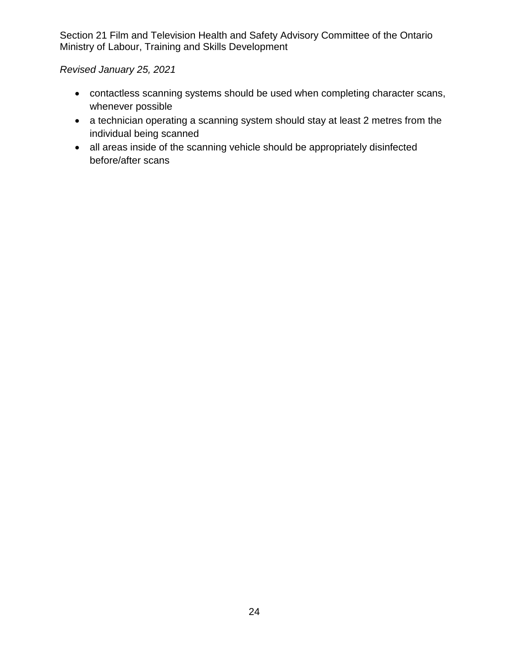*Revised January 25, 2021*

- contactless scanning systems should be used when completing character scans, whenever possible
- a technician operating a scanning system should stay at least 2 metres from the individual being scanned
- all areas inside of the scanning vehicle should be appropriately disinfected before/after scans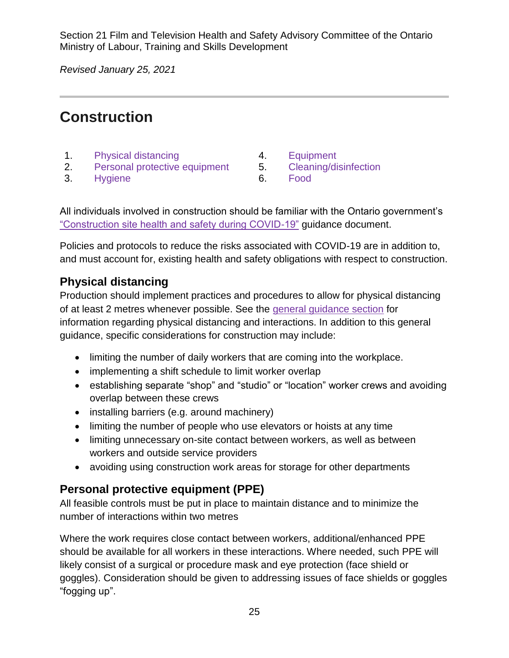*Revised January 25, 2021*

# <span id="page-24-0"></span>**Construction**

- 1. [Physical distancing](#page-24-1) **4.** [Equipment](#page-25-0)
- 2. [Personal protective equipment](#page-24-2) 5. [Cleaning/disinfection](#page-25-1)
- 3. [Hygiene](#page-25-0) 6. [Food](#page-25-2)
- 
- 
- 

All individuals involved in construction should be familiar with the Ontario government's ["Construction site health and safety during COVID-19"](https://www.ontario.ca/page/construction-site-health-and-safety-during-covid-19) guidance document.

Policies and protocols to reduce the risks associated with COVID-19 are in addition to, and must account for, existing health and safety obligations with respect to construction.

#### <span id="page-24-1"></span>**Physical distancing**

Production should implement practices and procedures to allow for physical distancing of at least 2 metres whenever possible. See the [general guidance section](#page-11-0) for information regarding physical distancing and interactions. In addition to this general guidance, specific considerations for construction may include:

- limiting the number of daily workers that are coming into the workplace.
- implementing a shift schedule to limit worker overlap
- establishing separate "shop" and "studio" or "location" worker crews and avoiding overlap between these crews
- installing barriers (e.g. around machinery)
- limiting the number of people who use elevators or hoists at any time
- limiting unnecessary on-site contact between workers, as well as between workers and outside service providers
- avoiding using construction work areas for storage for other departments

## <span id="page-24-2"></span>**Personal protective equipment (PPE)**

All feasible controls must be put in place to maintain distance and to minimize the number of interactions within two metres

Where the work requires close contact between workers, additional/enhanced PPE should be available for all workers in these interactions. Where needed, such PPE will likely consist of a surgical or procedure mask and eye protection (face shield or goggles). Consideration should be given to addressing issues of face shields or goggles "fogging up".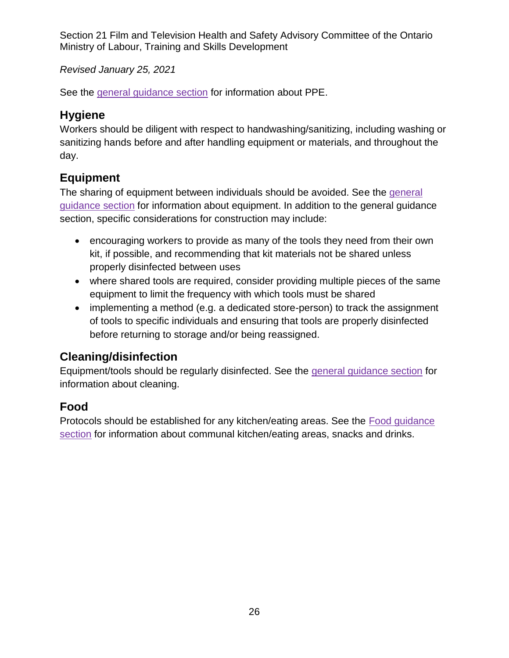*Revised January 25, 2021*

<span id="page-25-0"></span>See the [general guidance section](#page-13-0) for information about PPE.

## **Hygiene**

Workers should be diligent with respect to handwashing/sanitizing, including washing or sanitizing hands before and after handling equipment or materials, and throughout the day.

## **Equipment**

The sharing of equipment between individuals should be avoided. See the [general](#page-15-0)  [guidance](#page-15-0) section for information about equipment. In addition to the general guidance section, specific considerations for construction may include:

- encouraging workers to provide as many of the tools they need from their own kit, if possible, and recommending that kit materials not be shared unless properly disinfected between uses
- where shared tools are required, consider providing multiple pieces of the same equipment to limit the frequency with which tools must be shared
- implementing a method (e.g. a dedicated store-person) to track the assignment of tools to specific individuals and ensuring that tools are properly disinfected before returning to storage and/or being reassigned.

## <span id="page-25-1"></span>**Cleaning/disinfection**

Equipment/tools should be regularly disinfected. See the [general guidance section](#page-14-0) for information about cleaning.

## <span id="page-25-2"></span>**Food**

Protocols should be established for any kitchen/eating areas. See the [Food guidance](#page-26-0)  [section](#page-26-0) for information about communal kitchen/eating areas, snacks and drinks.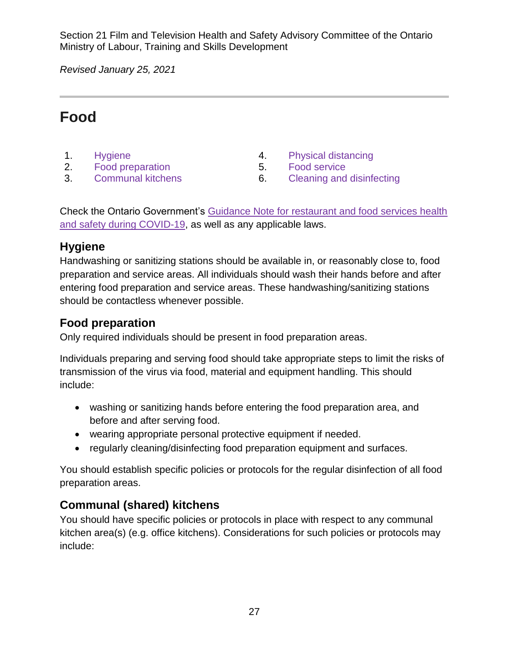*Revised January 25, 2021*

# <span id="page-26-0"></span>**Food**

- 
- 2. [Food preparation](#page-26-2) 5. [Food service](#page-27-1)
- 
- 1. [Hygiene](#page-26-1) 1. **Hygiene** 1. [Physical distancing](#page-27-0)
	-
- 3. [Communal kitchens](#page-26-3) 6. [Cleaning and disinfecting](#page-28-0)

Check the Ontario Government's [Guidance Note for restaurant and food services health](https://www.ontario.ca/page/restaurant-and-food-services-health-and-safety-during-covid-19)  [and safety during COVID-19,](https://www.ontario.ca/page/restaurant-and-food-services-health-and-safety-during-covid-19) as well as any applicable laws.

#### <span id="page-26-1"></span>**Hygiene**

Handwashing or sanitizing stations should be available in, or reasonably close to, food preparation and service areas. All individuals should wash their hands before and after entering food preparation and service areas. These handwashing/sanitizing stations should be contactless whenever possible.

## <span id="page-26-2"></span>**Food preparation**

Only required individuals should be present in food preparation areas.

Individuals preparing and serving food should take appropriate steps to limit the risks of transmission of the virus via food, material and equipment handling. This should include:

- washing or sanitizing hands before entering the food preparation area, and before and after serving food.
- wearing appropriate personal protective equipment if needed.
- regularly cleaning/disinfecting food preparation equipment and surfaces.

You should establish specific policies or protocols for the regular disinfection of all food preparation areas.

## <span id="page-26-3"></span>**Communal (shared) kitchens**

You should have specific policies or protocols in place with respect to any communal kitchen area(s) (e.g. office kitchens). Considerations for such policies or protocols may include: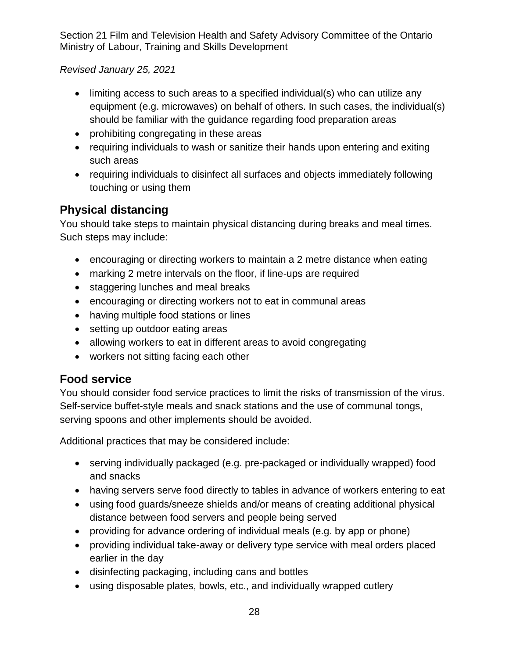*Revised January 25, 2021*

- limiting access to such areas to a specified individual(s) who can utilize any equipment (e.g. microwaves) on behalf of others. In such cases, the individual(s) should be familiar with the guidance regarding food preparation areas
- prohibiting congregating in these areas
- requiring individuals to wash or sanitize their hands upon entering and exiting such areas
- requiring individuals to disinfect all surfaces and objects immediately following touching or using them

## <span id="page-27-0"></span>**Physical distancing**

You should take steps to maintain physical distancing during breaks and meal times. Such steps may include:

- encouraging or directing workers to maintain a 2 metre distance when eating
- marking 2 metre intervals on the floor, if line-ups are required
- staggering lunches and meal breaks
- encouraging or directing workers not to eat in communal areas
- having multiple food stations or lines
- setting up outdoor eating areas
- allowing workers to eat in different areas to avoid congregating
- workers not sitting facing each other

## <span id="page-27-1"></span>**Food service**

You should consider food service practices to limit the risks of transmission of the virus. Self-service buffet-style meals and snack stations and the use of communal tongs, serving spoons and other implements should be avoided.

Additional practices that may be considered include:

- serving individually packaged (e.g. pre-packaged or individually wrapped) food and snacks
- having servers serve food directly to tables in advance of workers entering to eat
- using food guards/sneeze shields and/or means of creating additional physical distance between food servers and people being served
- providing for advance ordering of individual meals (e.g. by app or phone)
- providing individual take-away or delivery type service with meal orders placed earlier in the day
- disinfecting packaging, including cans and bottles
- using disposable plates, bowls, etc., and individually wrapped cutlery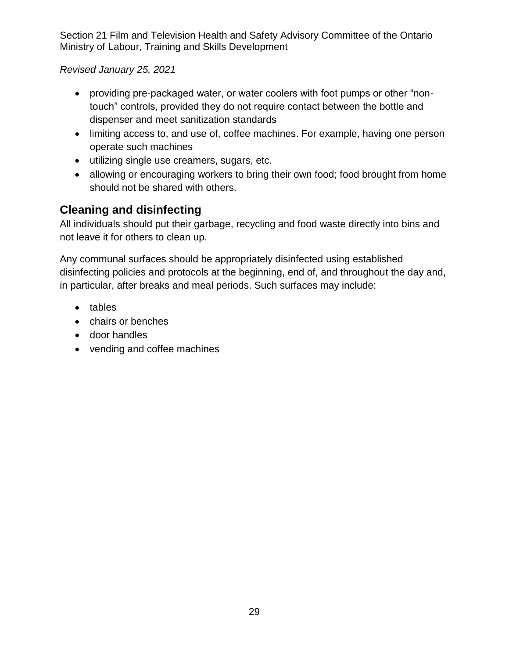*Revised January 25, 2021*

- providing pre-packaged water, or water coolers with foot pumps or other "nontouch" controls, provided they do not require contact between the bottle and dispenser and meet sanitization standards
- limiting access to, and use of, coffee machines. For example, having one person operate such machines
- utilizing single use creamers, sugars, etc.
- allowing or encouraging workers to bring their own food; food brought from home should not be shared with others.

## <span id="page-28-0"></span>**Cleaning and disinfecting**

All individuals should put their garbage, recycling and food waste directly into bins and not leave it for others to clean up.

Any communal surfaces should be appropriately disinfected using established disinfecting policies and protocols at the beginning, end of, and throughout the day and, in particular, after breaks and meal periods. Such surfaces may include:

- tables
- chairs or benches
- door handles
- vending and coffee machines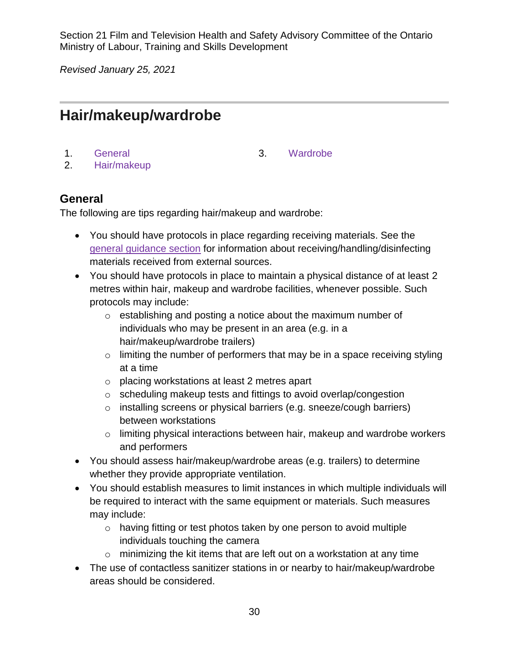*Revised January 25, 2021*

# <span id="page-29-0"></span>**Hair/makeup/wardrobe**

- 1. [General](#page-29-1) 3. [Wardrobe](#page-31-0)
- 

2. [Hair/makeup](#page-30-0)

#### <span id="page-29-1"></span>**General**

The following are tips regarding hair/makeup and wardrobe:

- You should have protocols in place regarding receiving materials. See the [general guidance section](#page-11-1) for information about receiving/handling/disinfecting materials received from external sources.
- You should have protocols in place to maintain a physical distance of at least 2 metres within hair, makeup and wardrobe facilities, whenever possible. Such protocols may include:
	- o establishing and posting a notice about the maximum number of individuals who may be present in an area (e.g. in a hair/makeup/wardrobe trailers)
	- $\circ$  limiting the number of performers that may be in a space receiving styling at a time
	- o placing workstations at least 2 metres apart
	- o scheduling makeup tests and fittings to avoid overlap/congestion
	- o installing screens or physical barriers (e.g. sneeze/cough barriers) between workstations
	- o limiting physical interactions between hair, makeup and wardrobe workers and performers
- You should assess hair/makeup/wardrobe areas (e.g. trailers) to determine whether they provide appropriate ventilation.
- You should establish measures to limit instances in which multiple individuals will be required to interact with the same equipment or materials. Such measures may include:
	- o having fitting or test photos taken by one person to avoid multiple individuals touching the camera
	- $\circ$  minimizing the kit items that are left out on a workstation at any time
- The use of contactless sanitizer stations in or nearby to hair/makeup/wardrobe areas should be considered.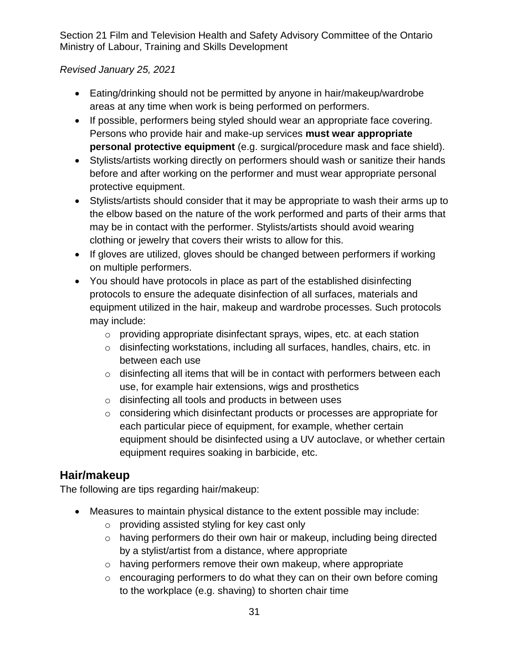#### *Revised January 25, 2021*

- Eating/drinking should not be permitted by anyone in hair/makeup/wardrobe areas at any time when work is being performed on performers.
- If possible, performers being styled should wear an appropriate face covering. Persons who provide hair and make-up services **must wear appropriate personal protective equipment** (e.g. surgical/procedure mask and face shield).
- Stylists/artists working directly on performers should wash or sanitize their hands before and after working on the performer and must wear appropriate personal protective equipment.
- Stylists/artists should consider that it may be appropriate to wash their arms up to the elbow based on the nature of the work performed and parts of their arms that may be in contact with the performer. Stylists/artists should avoid wearing clothing or jewelry that covers their wrists to allow for this.
- If gloves are utilized, gloves should be changed between performers if working on multiple performers.
- You should have protocols in place as part of the established disinfecting protocols to ensure the adequate disinfection of all surfaces, materials and equipment utilized in the hair, makeup and wardrobe processes. Such protocols may include:
	- o providing appropriate disinfectant sprays, wipes, etc. at each station
	- o disinfecting workstations, including all surfaces, handles, chairs, etc. in between each use
	- o disinfecting all items that will be in contact with performers between each use, for example hair extensions, wigs and prosthetics
	- o disinfecting all tools and products in between uses
	- o considering which disinfectant products or processes are appropriate for each particular piece of equipment, for example, whether certain equipment should be disinfected using a UV autoclave, or whether certain equipment requires soaking in barbicide, etc.

## <span id="page-30-0"></span>**Hair/makeup**

The following are tips regarding hair/makeup:

- Measures to maintain physical distance to the extent possible may include:
	- o providing assisted styling for key cast only
	- o having performers do their own hair or makeup, including being directed by a stylist/artist from a distance, where appropriate
	- o having performers remove their own makeup, where appropriate
	- $\circ$  encouraging performers to do what they can on their own before coming to the workplace (e.g. shaving) to shorten chair time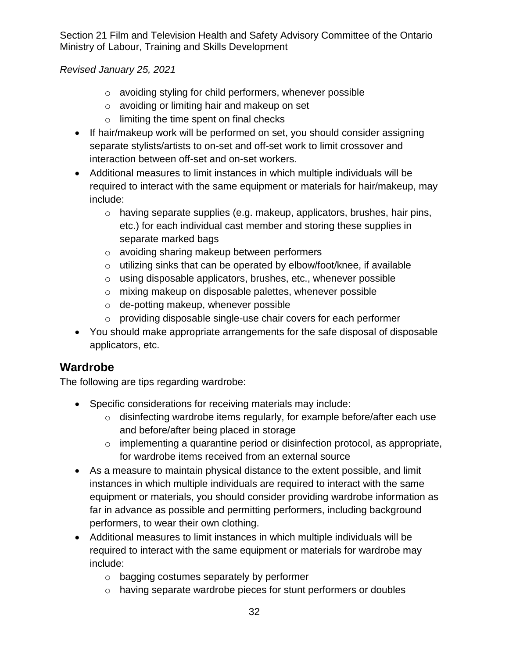*Revised January 25, 2021*

- o avoiding styling for child performers, whenever possible
- o avoiding or limiting hair and makeup on set
- o limiting the time spent on final checks
- If hair/makeup work will be performed on set, you should consider assigning separate stylists/artists to on-set and off-set work to limit crossover and interaction between off-set and on-set workers.
- Additional measures to limit instances in which multiple individuals will be required to interact with the same equipment or materials for hair/makeup, may include:
	- $\circ$  having separate supplies (e.g. makeup, applicators, brushes, hair pins, etc.) for each individual cast member and storing these supplies in separate marked bags
	- o avoiding sharing makeup between performers
	- o utilizing sinks that can be operated by elbow/foot/knee, if available
	- o using disposable applicators, brushes, etc., whenever possible
	- o mixing makeup on disposable palettes, whenever possible
	- o de-potting makeup, whenever possible
	- o providing disposable single-use chair covers for each performer
- You should make appropriate arrangements for the safe disposal of disposable applicators, etc.

## <span id="page-31-0"></span>**Wardrobe**

The following are tips regarding wardrobe:

- Specific considerations for receiving materials may include:
	- o disinfecting wardrobe items regularly, for example before/after each use and before/after being placed in storage
	- $\circ$  implementing a quarantine period or disinfection protocol, as appropriate, for wardrobe items received from an external source
- As a measure to maintain physical distance to the extent possible, and limit instances in which multiple individuals are required to interact with the same equipment or materials, you should consider providing wardrobe information as far in advance as possible and permitting performers, including background performers, to wear their own clothing.
- Additional measures to limit instances in which multiple individuals will be required to interact with the same equipment or materials for wardrobe may include:
	- o bagging costumes separately by performer
	- o having separate wardrobe pieces for stunt performers or doubles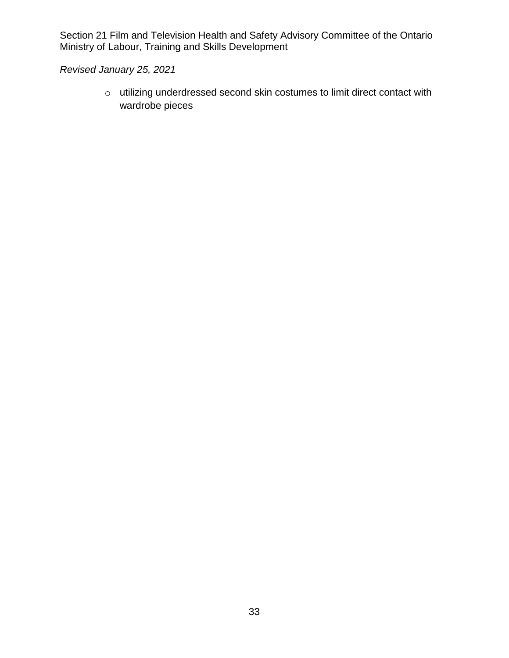*Revised January 25, 2021*

o utilizing underdressed second skin costumes to limit direct contact with wardrobe pieces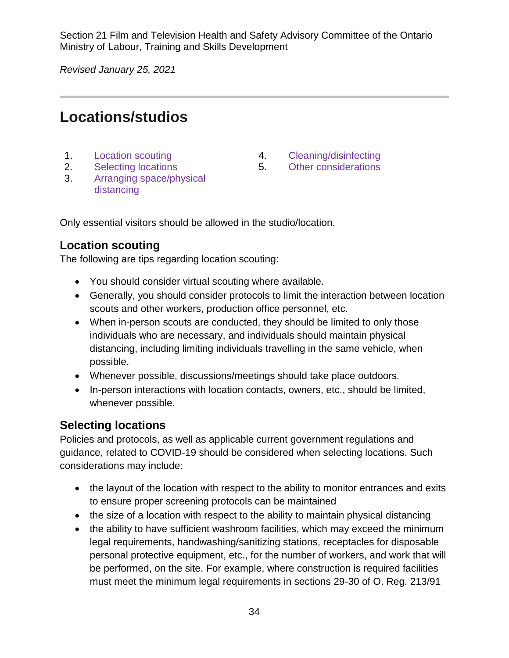*Revised January 25, 2021*

## <span id="page-33-0"></span>**Locations/studios**

- 
- 2. [Selecting locations](#page-33-2) 5. [Other considerations](#page-36-0)
- 3. [Arranging space/physical](#page-34-0)  [distancing](#page-34-0)
- 1. [Location scouting](#page-33-1) The Manuscript A. [Cleaning/disinfecting](#page-35-0)
	-

Only essential visitors should be allowed in the studio/location.

#### <span id="page-33-1"></span>**Location scouting**

The following are tips regarding location scouting:

- You should consider virtual scouting where available.
- Generally, you should consider protocols to limit the interaction between location scouts and other workers, production office personnel, etc.
- When in-person scouts are conducted, they should be limited to only those individuals who are necessary, and individuals should maintain physical distancing, including limiting individuals travelling in the same vehicle, when possible.
- Whenever possible, discussions/meetings should take place outdoors.
- In-person interactions with location contacts, owners, etc., should be limited, whenever possible.

#### <span id="page-33-2"></span>**Selecting locations**

Policies and protocols, as well as applicable current government regulations and guidance, related to COVID-19 should be considered when selecting locations. Such considerations may include:

- the layout of the location with respect to the ability to monitor entrances and exits to ensure proper screening protocols can be maintained
- the size of a location with respect to the ability to maintain physical distancing
- the ability to have sufficient washroom facilities, which may exceed the minimum legal requirements, handwashing/sanitizing stations, receptacles for disposable personal protective equipment, etc., for the number of workers, and work that will be performed, on the site. For example, where construction is required facilities must meet the minimum legal requirements in sections 29-30 of O. Reg. 213/91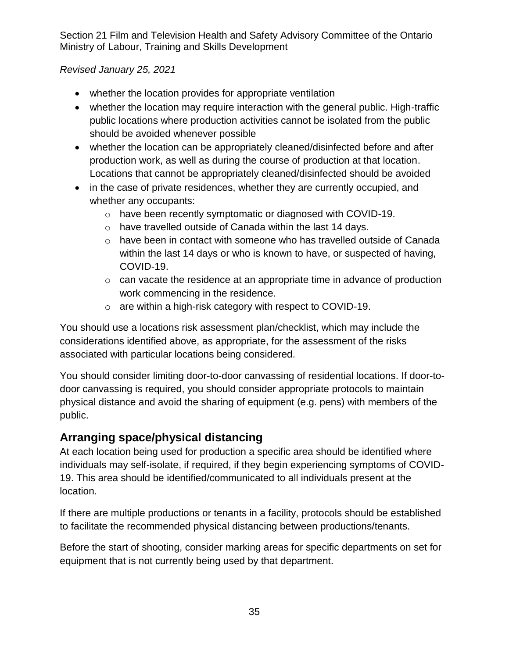#### *Revised January 25, 2021*

- whether the location provides for appropriate ventilation
- whether the location may require interaction with the general public. High-traffic public locations where production activities cannot be isolated from the public should be avoided whenever possible
- whether the location can be appropriately cleaned/disinfected before and after production work, as well as during the course of production at that location. Locations that cannot be appropriately cleaned/disinfected should be avoided
- in the case of private residences, whether they are currently occupied, and whether any occupants:
	- o have been recently symptomatic or diagnosed with COVID-19.
	- o have travelled outside of Canada within the last 14 days.
	- o have been in contact with someone who has travelled outside of Canada within the last 14 days or who is known to have, or suspected of having, COVID-19.
	- $\circ$  can vacate the residence at an appropriate time in advance of production work commencing in the residence.
	- o are within a high-risk category with respect to COVID-19.

You should use a locations risk assessment plan/checklist, which may include the considerations identified above, as appropriate, for the assessment of the risks associated with particular locations being considered.

You should consider limiting door-to-door canvassing of residential locations. If door-todoor canvassing is required, you should consider appropriate protocols to maintain physical distance and avoid the sharing of equipment (e.g. pens) with members of the public.

## <span id="page-34-0"></span>**Arranging space/physical distancing**

At each location being used for production a specific area should be identified where individuals may self-isolate, if required, if they begin experiencing symptoms of COVID-19. This area should be identified/communicated to all individuals present at the location.

If there are multiple productions or tenants in a facility, protocols should be established to facilitate the recommended physical distancing between productions/tenants.

Before the start of shooting, consider marking areas for specific departments on set for equipment that is not currently being used by that department.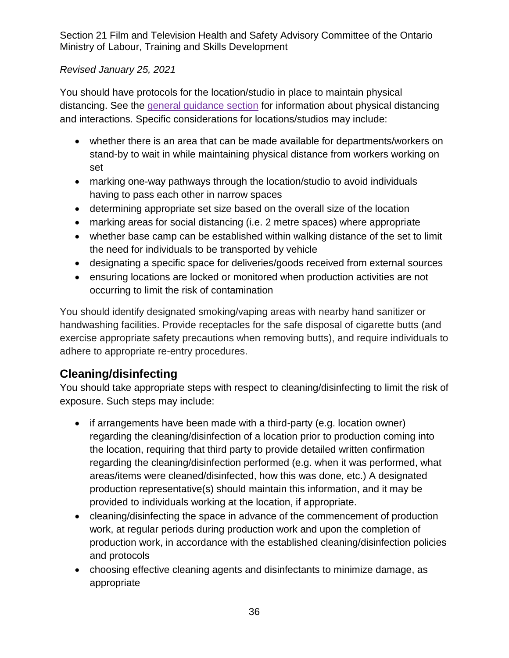#### *Revised January 25, 2021*

You should have protocols for the location/studio in place to maintain physical distancing. See the [general guidance](#page-11-0) section for information about physical distancing and interactions. Specific considerations for locations/studios may include:

- whether there is an area that can be made available for departments/workers on stand-by to wait in while maintaining physical distance from workers working on set
- marking one-way pathways through the location/studio to avoid individuals having to pass each other in narrow spaces
- determining appropriate set size based on the overall size of the location
- marking areas for social distancing (i.e. 2 metre spaces) where appropriate
- whether base camp can be established within walking distance of the set to limit the need for individuals to be transported by vehicle
- designating a specific space for deliveries/goods received from external sources
- ensuring locations are locked or monitored when production activities are not occurring to limit the risk of contamination

You should identify designated smoking/vaping areas with nearby hand sanitizer or handwashing facilities. Provide receptacles for the safe disposal of cigarette butts (and exercise appropriate safety precautions when removing butts), and require individuals to adhere to appropriate re-entry procedures.

## <span id="page-35-0"></span>**Cleaning/disinfecting**

You should take appropriate steps with respect to cleaning/disinfecting to limit the risk of exposure. Such steps may include:

- if arrangements have been made with a third-party (e.g. location owner) regarding the cleaning/disinfection of a location prior to production coming into the location, requiring that third party to provide detailed written confirmation regarding the cleaning/disinfection performed (e.g. when it was performed, what areas/items were cleaned/disinfected, how this was done, etc.) A designated production representative(s) should maintain this information, and it may be provided to individuals working at the location, if appropriate.
- cleaning/disinfecting the space in advance of the commencement of production work, at regular periods during production work and upon the completion of production work, in accordance with the established cleaning/disinfection policies and protocols
- choosing effective cleaning agents and disinfectants to minimize damage, as appropriate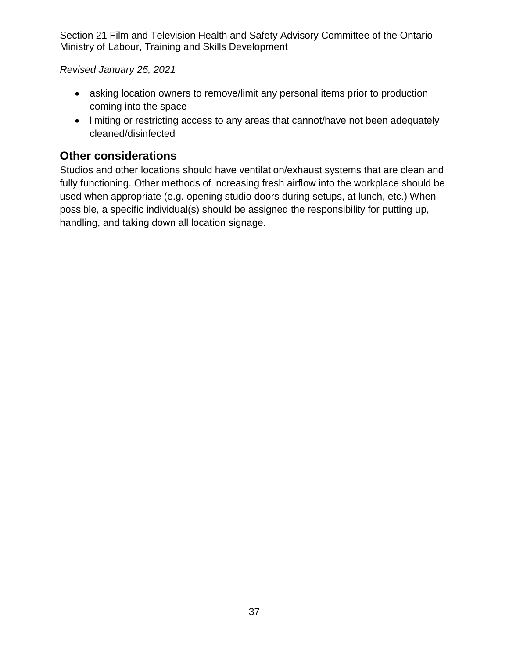*Revised January 25, 2021*

- asking location owners to remove/limit any personal items prior to production coming into the space
- limiting or restricting access to any areas that cannot/have not been adequately cleaned/disinfected

## <span id="page-36-0"></span>**Other considerations**

Studios and other locations should have ventilation/exhaust systems that are clean and fully functioning. Other methods of increasing fresh airflow into the workplace should be used when appropriate (e.g. opening studio doors during setups, at lunch, etc.) When possible, a specific individual(s) should be assigned the responsibility for putting up, handling, and taking down all location signage.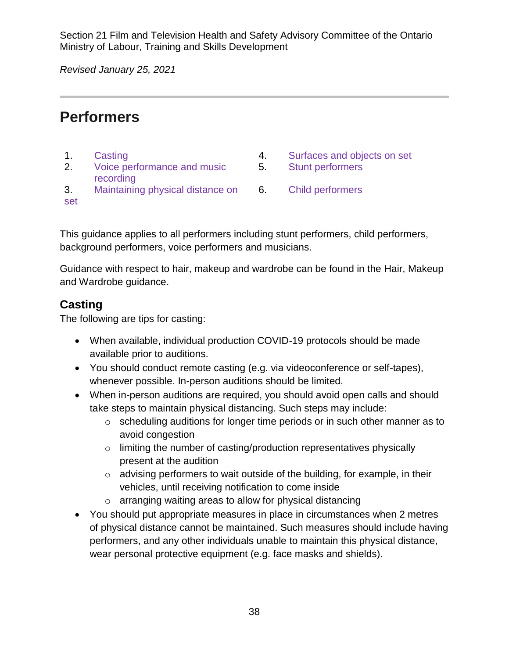*Revised January 25, 2021*

## <span id="page-37-0"></span>**Performers**

- 
- 2. [Voice performance and music](#page-38-0)  [recording](#page-38-0)
- 1. [Casting](#page-37-1) **1. Casting 2. Casting 2. Casting 2. Casting 2. Casting 2. Casting 2. Casting 2. Casting 4. Casting 4. Casting 2. Casting 2. Casting 2. Casting 2. Casting 2. Casting 2. Casting 2. Casting 2. Casting 2. Casting 2** 
	- 5. [Stunt performers](#page-40-1)
- 3. [Maintaining physical distance on](#page-39-0)  [set](#page-39-0) 6. [Child performers](#page-40-2)

This guidance applies to all performers including stunt performers, child performers, background performers, voice performers and musicians.

Guidance with respect to hair, makeup and wardrobe can be found in the Hair, Makeup and Wardrobe guidance.

## <span id="page-37-1"></span>**Casting**

The following are tips for casting:

- When available, individual production COVID-19 protocols should be made available prior to auditions.
- You should conduct remote casting (e.g. via videoconference or self-tapes), whenever possible. In-person auditions should be limited.
- When in-person auditions are required, you should avoid open calls and should take steps to maintain physical distancing. Such steps may include:
	- o scheduling auditions for longer time periods or in such other manner as to avoid congestion
	- $\circ$  limiting the number of casting/production representatives physically present at the audition
	- $\circ$  advising performers to wait outside of the building, for example, in their vehicles, until receiving notification to come inside
	- o arranging waiting areas to allow for physical distancing
- You should put appropriate measures in place in circumstances when 2 metres of physical distance cannot be maintained. Such measures should include having performers, and any other individuals unable to maintain this physical distance, wear personal protective equipment (e.g. face masks and shields).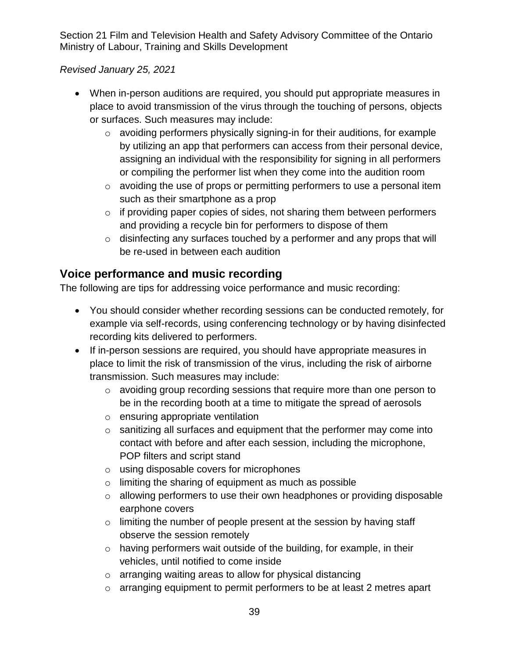#### *Revised January 25, 2021*

- When in-person auditions are required, you should put appropriate measures in place to avoid transmission of the virus through the touching of persons, objects or surfaces. Such measures may include:
	- o avoiding performers physically signing-in for their auditions, for example by utilizing an app that performers can access from their personal device, assigning an individual with the responsibility for signing in all performers or compiling the performer list when they come into the audition room
	- o avoiding the use of props or permitting performers to use a personal item such as their smartphone as a prop
	- $\circ$  if providing paper copies of sides, not sharing them between performers and providing a recycle bin for performers to dispose of them
	- o disinfecting any surfaces touched by a performer and any props that will be re-used in between each audition

#### <span id="page-38-0"></span>**Voice performance and music recording**

The following are tips for addressing voice performance and music recording:

- You should consider whether recording sessions can be conducted remotely, for example via self-records, using conferencing technology or by having disinfected recording kits delivered to performers.
- If in-person sessions are required, you should have appropriate measures in place to limit the risk of transmission of the virus, including the risk of airborne transmission. Such measures may include:
	- o avoiding group recording sessions that require more than one person to be in the recording booth at a time to mitigate the spread of aerosols
	- o ensuring appropriate ventilation
	- o sanitizing all surfaces and equipment that the performer may come into contact with before and after each session, including the microphone, POP filters and script stand
	- o using disposable covers for microphones
	- $\circ$  limiting the sharing of equipment as much as possible
	- o allowing performers to use their own headphones or providing disposable earphone covers
	- o limiting the number of people present at the session by having staff observe the session remotely
	- o having performers wait outside of the building, for example, in their vehicles, until notified to come inside
	- o arranging waiting areas to allow for physical distancing
	- o arranging equipment to permit performers to be at least 2 metres apart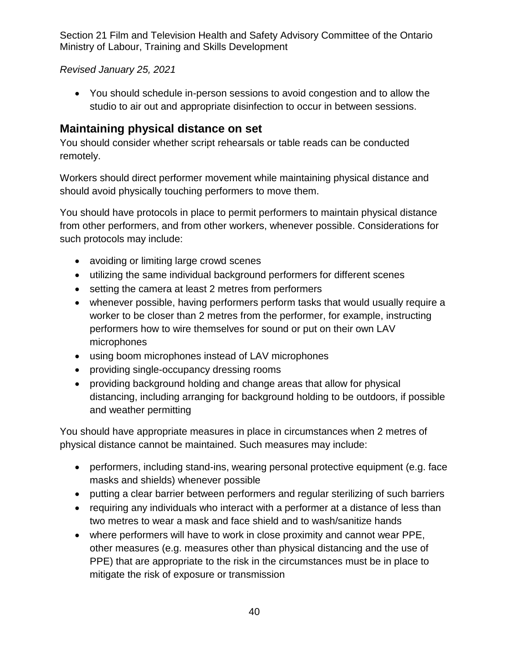*Revised January 25, 2021*

• You should schedule in-person sessions to avoid congestion and to allow the studio to air out and appropriate disinfection to occur in between sessions.

## <span id="page-39-0"></span>**Maintaining physical distance on set**

You should consider whether script rehearsals or table reads can be conducted remotely.

Workers should direct performer movement while maintaining physical distance and should avoid physically touching performers to move them.

You should have protocols in place to permit performers to maintain physical distance from other performers, and from other workers, whenever possible. Considerations for such protocols may include:

- avoiding or limiting large crowd scenes
- utilizing the same individual background performers for different scenes
- setting the camera at least 2 metres from performers
- whenever possible, having performers perform tasks that would usually require a worker to be closer than 2 metres from the performer, for example, instructing performers how to wire themselves for sound or put on their own LAV microphones
- using boom microphones instead of LAV microphones
- providing single-occupancy dressing rooms
- providing background holding and change areas that allow for physical distancing, including arranging for background holding to be outdoors, if possible and weather permitting

You should have appropriate measures in place in circumstances when 2 metres of physical distance cannot be maintained. Such measures may include:

- performers, including stand-ins, wearing personal protective equipment (e.g. face masks and shields) whenever possible
- putting a clear barrier between performers and regular sterilizing of such barriers
- requiring any individuals who interact with a performer at a distance of less than two metres to wear a mask and face shield and to wash/sanitize hands
- where performers will have to work in close proximity and cannot wear PPE, other measures (e.g. measures other than physical distancing and the use of PPE) that are appropriate to the risk in the circumstances must be in place to mitigate the risk of exposure or transmission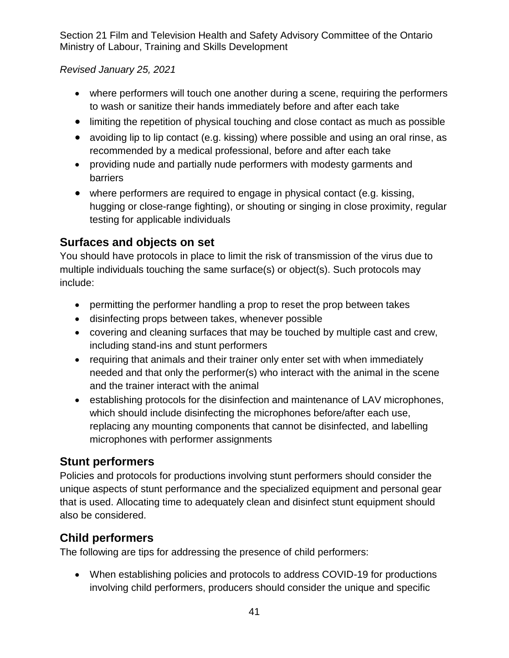*Revised January 25, 2021*

- where performers will touch one another during a scene, requiring the performers to wash or sanitize their hands immediately before and after each take
- <span id="page-40-0"></span>• limiting the repetition of physical touching and close contact as much as possible
- avoiding lip to lip contact (e.g. kissing) where possible and using an oral rinse, as recommended by a medical professional, before and after each take
- providing nude and partially nude performers with modesty garments and barriers
- where performers are required to engage in physical contact (e.g. kissing, hugging or close-range fighting), or shouting or singing in close proximity, regular testing for applicable individuals

## **Surfaces and objects on set**

You should have protocols in place to limit the risk of transmission of the virus due to multiple individuals touching the same surface(s) or object(s). Such protocols may include:

- permitting the performer handling a prop to reset the prop between takes
- disinfecting props between takes, whenever possible
- covering and cleaning surfaces that may be touched by multiple cast and crew, including stand-ins and stunt performers
- requiring that animals and their trainer only enter set with when immediately needed and that only the performer(s) who interact with the animal in the scene and the trainer interact with the animal
- establishing protocols for the disinfection and maintenance of LAV microphones, which should include disinfecting the microphones before/after each use, replacing any mounting components that cannot be disinfected, and labelling microphones with performer assignments

## <span id="page-40-1"></span>**Stunt performers**

Policies and protocols for productions involving stunt performers should consider the unique aspects of stunt performance and the specialized equipment and personal gear that is used. Allocating time to adequately clean and disinfect stunt equipment should also be considered.

## <span id="page-40-2"></span>**Child performers**

The following are tips for addressing the presence of child performers:

• When establishing policies and protocols to address COVID-19 for productions involving child performers, producers should consider the unique and specific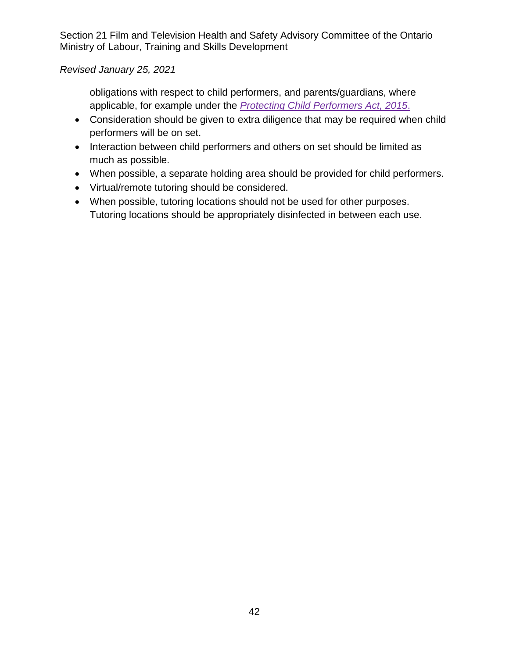#### *Revised January 25, 2021*

obligations with respect to child performers, and parents/guardians, where applicable, for example under the *[Protecting Child Performers Act, 2015](https://www.ontario.ca/laws/statute/s15002)*.

- Consideration should be given to extra diligence that may be required when child performers will be on set.
- Interaction between child performers and others on set should be limited as much as possible.
- When possible, a separate holding area should be provided for child performers.
- Virtual/remote tutoring should be considered.
- When possible, tutoring locations should not be used for other purposes. Tutoring locations should be appropriately disinfected in between each use.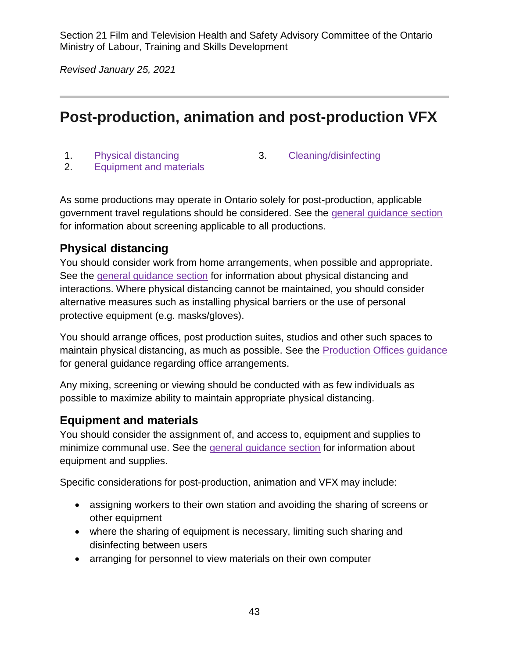*Revised January 25, 2021*

## <span id="page-42-0"></span>**Post-production, animation and post-production VFX**

- 
- 1. [Physical distancing](#page-42-1) 3. [Cleaning/disinfecting](#page-43-0)
- 2. [Equipment and materials](#page-42-2)

As some productions may operate in Ontario solely for post-production, applicable government travel regulations should be considered. See the [general guidance section](#page-5-0) for information about screening applicable to all productions.

#### <span id="page-42-1"></span>**Physical distancing**

You should consider work from home arrangements, when possible and appropriate. See the [general guidance section](#page-11-0) for information about physical distancing and interactions. Where physical distancing cannot be maintained, you should consider alternative measures such as installing physical barriers or the use of personal protective equipment (e.g. masks/gloves).

You should arrange offices, post production suites, studios and other such spaces to maintain physical distancing, as much as possible. See the [Production Offices guidance](#page-44-0) for general guidance regarding office arrangements.

Any mixing, screening or viewing should be conducted with as few individuals as possible to maximize ability to maintain appropriate physical distancing.

#### <span id="page-42-2"></span>**Equipment and materials**

You should consider the assignment of, and access to, equipment and supplies to minimize communal use. See the [general guidance section](#page-15-0) for information about equipment and supplies.

Specific considerations for post-production, animation and VFX may include:

- assigning workers to their own station and avoiding the sharing of screens or other equipment
- where the sharing of equipment is necessary, limiting such sharing and disinfecting between users
- arranging for personnel to view materials on their own computer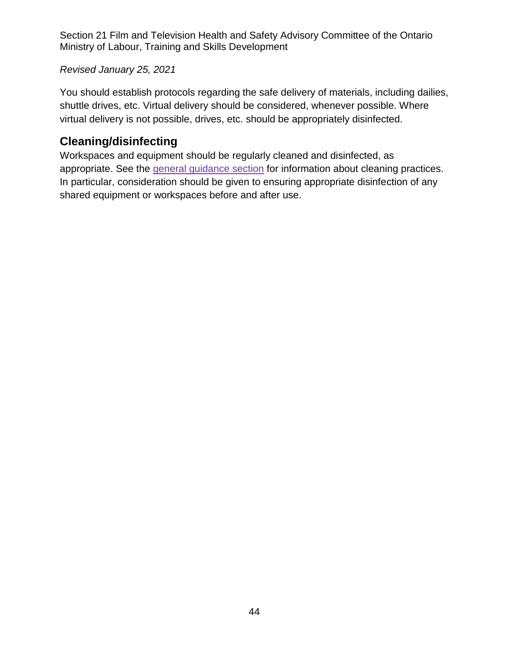#### *Revised January 25, 2021*

You should establish protocols regarding the safe delivery of materials, including dailies, shuttle drives, etc. Virtual delivery should be considered, whenever possible. Where virtual delivery is not possible, drives, etc. should be appropriately disinfected.

#### <span id="page-43-0"></span>**Cleaning/disinfecting**

Workspaces and equipment should be regularly cleaned and disinfected, as appropriate. See the [general guidance section](#page-14-0) for information about cleaning practices. In particular, consideration should be given to ensuring appropriate disinfection of any shared equipment or workspaces before and after use.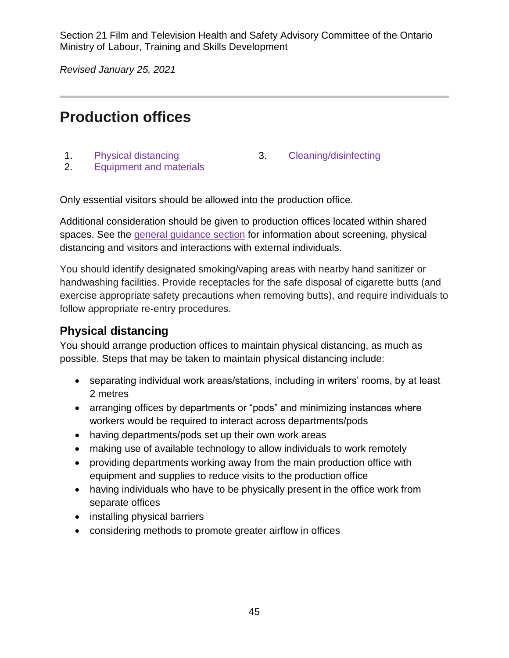*Revised January 25, 2021*

# <span id="page-44-0"></span>**Production offices**

- 
- 1. [Physical distancing](#page-44-1) 3. [Cleaning/disinfecting](#page-45-0)
- 2. [Equipment and materials](#page-45-1)

Only essential visitors should be allowed into the production office.

Additional consideration should be given to production offices located within shared spaces. See the [general guidance](#page-5-0) section for information about screening, physical distancing and visitors and interactions with external individuals.

You should identify designated smoking/vaping areas with nearby hand sanitizer or handwashing facilities. Provide receptacles for the safe disposal of cigarette butts (and exercise appropriate safety precautions when removing butts), and require individuals to follow appropriate re-entry procedures.

#### <span id="page-44-1"></span>**Physical distancing**

You should arrange production offices to maintain physical distancing, as much as possible. Steps that may be taken to maintain physical distancing include:

- separating individual work areas/stations, including in writers' rooms, by at least 2 metres
- arranging offices by departments or "pods" and minimizing instances where workers would be required to interact across departments/pods
- having departments/pods set up their own work areas
- making use of available technology to allow individuals to work remotely
- providing departments working away from the main production office with equipment and supplies to reduce visits to the production office
- having individuals who have to be physically present in the office work from separate offices
- installing physical barriers
- considering methods to promote greater airflow in offices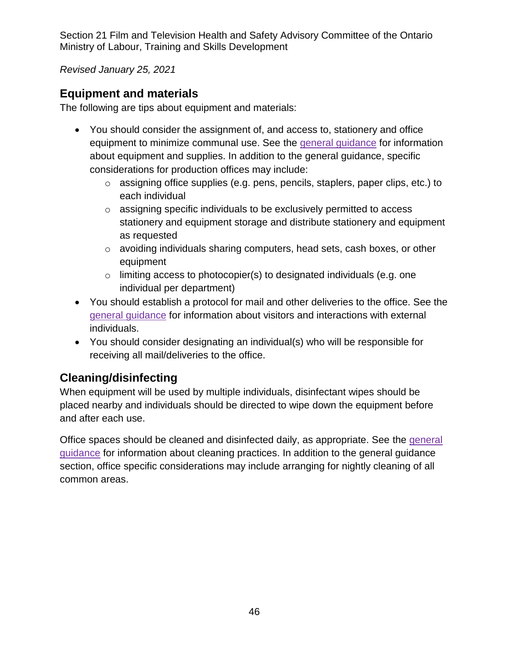*Revised January 25, 2021*

#### <span id="page-45-1"></span>**Equipment and materials**

The following are tips about equipment and materials:

- You should consider the assignment of, and access to, stationery and office equipment to minimize communal use. See the [general guidance](#page-15-0) for information about equipment and supplies. In addition to the general guidance, specific considerations for production offices may include:
	- o assigning office supplies (e.g. pens, pencils, staplers, paper clips, etc.) to each individual
	- o assigning specific individuals to be exclusively permitted to access stationery and equipment storage and distribute stationery and equipment as requested
	- o avoiding individuals sharing computers, head sets, cash boxes, or other equipment
	- $\circ$  limiting access to photocopier(s) to designated individuals (e.g. one individual per department)
- You should establish a protocol for mail and other deliveries to the office. See the [general guidance](#page-11-1) for information about visitors and interactions with external individuals.
- You should consider designating an individual(s) who will be responsible for receiving all mail/deliveries to the office.

## <span id="page-45-0"></span>**Cleaning/disinfecting**

When equipment will be used by multiple individuals, disinfectant wipes should be placed nearby and individuals should be directed to wipe down the equipment before and after each use.

Office spaces should be cleaned and disinfected daily, as appropriate. See the [general](#page-14-0)  [guidance](#page-14-0) for information about cleaning practices. In addition to the general guidance section, office specific considerations may include arranging for nightly cleaning of all common areas.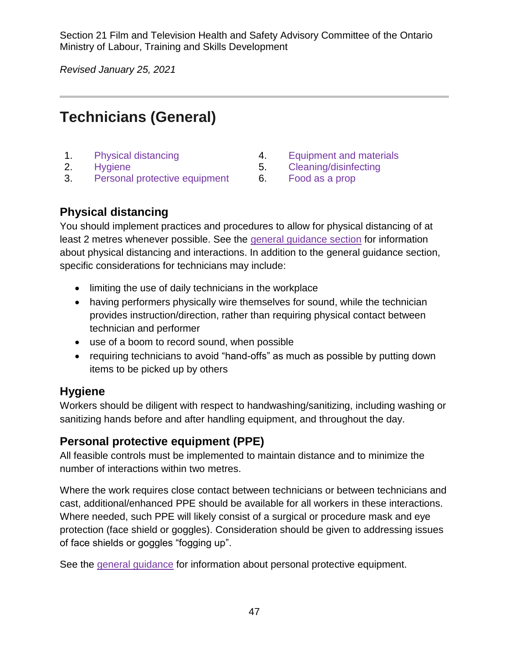*Revised January 25, 2021*

# <span id="page-46-0"></span>**Technicians (General)**

- 
- 
- 3. [Personal protective equipment](#page-46-4) 6. [Food as a prop](#page-47-1)
- 1. [Physical distancing](#page-46-1) The Materials A. [Equipment and materials](#page-46-2)
- 2. [Hygiene](#page-46-3) 5. [Cleaning/disinfecting](#page-47-0)
	-

#### <span id="page-46-1"></span>**Physical distancing**

You should implement practices and procedures to allow for physical distancing of at least 2 metres whenever possible. See the [general guidance section](#page-11-0) for information about physical distancing and interactions. In addition to the general guidance section, specific considerations for technicians may include:

- limiting the use of daily technicians in the workplace
- having performers physically wire themselves for sound, while the technician provides instruction/direction, rather than requiring physical contact between technician and performer
- use of a boom to record sound, when possible
- requiring technicians to avoid "hand-offs" as much as possible by putting down items to be picked up by others

## <span id="page-46-3"></span>**Hygiene**

Workers should be diligent with respect to handwashing/sanitizing, including washing or sanitizing hands before and after handling equipment, and throughout the day.

## <span id="page-46-4"></span>**Personal protective equipment (PPE)**

All feasible controls must be implemented to maintain distance and to minimize the number of interactions within two metres.

Where the work requires close contact between technicians or between technicians and cast, additional/enhanced PPE should be available for all workers in these interactions. Where needed, such PPE will likely consist of a surgical or procedure mask and eye protection (face shield or goggles). Consideration should be given to addressing issues of face shields or goggles "fogging up".

<span id="page-46-2"></span>See the [general guidance](#page-13-0) for information about personal protective equipment.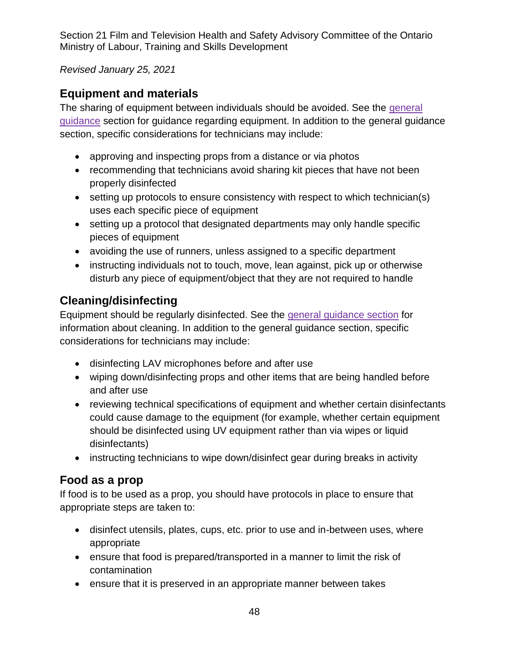*Revised January 25, 2021*

## **Equipment and materials**

The sharing of equipment between individuals should be avoided. See the [general](#page-15-0)  [guidance](#page-15-0) section for guidance regarding equipment. In addition to the general guidance section, specific considerations for technicians may include:

- approving and inspecting props from a distance or via photos
- recommending that technicians avoid sharing kit pieces that have not been properly disinfected
- setting up protocols to ensure consistency with respect to which technician(s) uses each specific piece of equipment
- setting up a protocol that designated departments may only handle specific pieces of equipment
- avoiding the use of runners, unless assigned to a specific department
- instructing individuals not to touch, move, lean against, pick up or otherwise disturb any piece of equipment/object that they are not required to handle

## <span id="page-47-0"></span>**Cleaning/disinfecting**

Equipment should be regularly disinfected. See the [general guidance section](#page-14-0) for information about cleaning. In addition to the general guidance section, specific considerations for technicians may include:

- disinfecting LAV microphones before and after use
- wiping down/disinfecting props and other items that are being handled before and after use
- reviewing technical specifications of equipment and whether certain disinfectants could cause damage to the equipment (for example, whether certain equipment should be disinfected using UV equipment rather than via wipes or liquid disinfectants)
- instructing technicians to wipe down/disinfect gear during breaks in activity

## <span id="page-47-1"></span>**Food as a prop**

If food is to be used as a prop, you should have protocols in place to ensure that appropriate steps are taken to:

- disinfect utensils, plates, cups, etc. prior to use and in-between uses, where appropriate
- ensure that food is prepared/transported in a manner to limit the risk of contamination
- ensure that it is preserved in an appropriate manner between takes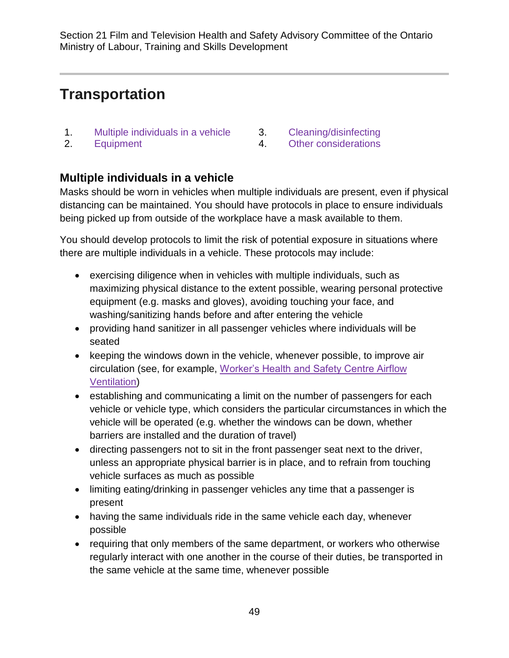# <span id="page-48-0"></span>**Transportation**

- 1. [Multiple individuals in a vehicle](#page-48-1) 3. [Cleaning/disinfecting](#page-49-0)
	-
- 
- 2. [Equipment](#page-49-1) 4. [Other considerations](#page-49-2)

## <span id="page-48-1"></span>**Multiple individuals in a vehicle**

Masks should be worn in vehicles when multiple individuals are present, even if physical distancing can be maintained. You should have protocols in place to ensure individuals being picked up from outside of the workplace have a mask available to them.

You should develop protocols to limit the risk of potential exposure in situations where there are multiple individuals in a vehicle. These protocols may include:

- exercising diligence when in vehicles with multiple individuals, such as maximizing physical distance to the extent possible, wearing personal protective equipment (e.g. masks and gloves), avoiding touching your face, and washing/sanitizing hands before and after entering the vehicle
- providing hand sanitizer in all passenger vehicles where individuals will be seated
- keeping the windows down in the vehicle, whenever possible, to improve air circulation (see, for example, [Worker's Health and Safety Centre Airflow](https://www.whsc.on.ca/What-s-new/News-Archive/Optimal-airflow-in-vehicles-may-help-reduce-COVID-19-transmission-study)  [Ventilation\)](https://www.whsc.on.ca/What-s-new/News-Archive/Optimal-airflow-in-vehicles-may-help-reduce-COVID-19-transmission-study)
- establishing and communicating a limit on the number of passengers for each vehicle or vehicle type, which considers the particular circumstances in which the vehicle will be operated (e.g. whether the windows can be down, whether barriers are installed and the duration of travel)
- directing passengers not to sit in the front passenger seat next to the driver, unless an appropriate physical barrier is in place, and to refrain from touching vehicle surfaces as much as possible
- limiting eating/drinking in passenger vehicles any time that a passenger is present
- having the same individuals ride in the same vehicle each day, whenever possible
- requiring that only members of the same department, or workers who otherwise regularly interact with one another in the course of their duties, be transported in the same vehicle at the same time, whenever possible